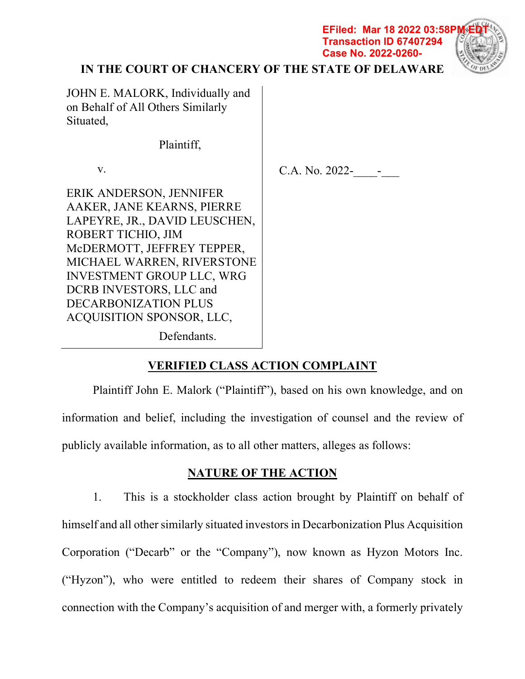**EFiled: Mar 18 2022 03:58P Transaction ID 67407294 Case No. 2022-0260-**



# **IN THE COURT OF CHANCERY OF THE STATE OF DELAWARE**

JOHN E. MALORK, Individually and on Behalf of All Others Similarly Situated,

Plaintiff,

v.

C.A. No. 2022-

ERIK ANDERSON, JENNIFER AAKER, JANE KEARNS, PIERRE LAPEYRE, JR., DAVID LEUSCHEN, ROBERT TICHIO, JIM McDERMOTT, JEFFREY TEPPER, MICHAEL WARREN, RIVERSTONE INVESTMENT GROUP LLC, WRG DCRB INVESTORS, LLC and DECARBONIZATION PLUS ACQUISITION SPONSOR, LLC,

Defendants.

# **VERIFIED CLASS ACTION COMPLAINT**

Plaintiff John E. Malork ("Plaintiff"), based on his own knowledge, and on information and belief, including the investigation of counsel and the review of publicly available information, as to all other matters, alleges as follows:

# **NATURE OF THE ACTION**

1. This is a stockholder class action brought by Plaintiff on behalf of himself and all other similarly situated investors in Decarbonization Plus Acquisition Corporation ("Decarb" or the "Company"), now known as Hyzon Motors Inc. ("Hyzon"), who were entitled to redeem their shares of Company stock in connection with the Company's acquisition of and merger with, a formerly privately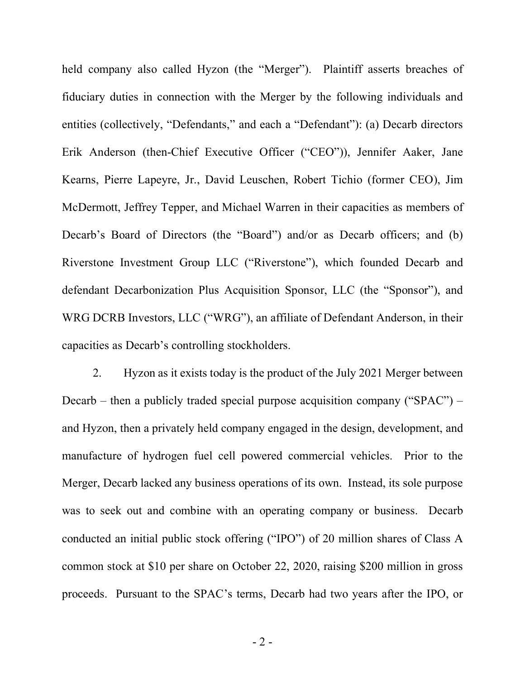held company also called Hyzon (the "Merger"). Plaintiff asserts breaches of fiduciary duties in connection with the Merger by the following individuals and entities (collectively, "Defendants," and each a "Defendant"): (a) Decarb directors Erik Anderson (then-Chief Executive Officer ("CEO")), Jennifer Aaker, Jane Kearns, Pierre Lapeyre, Jr., David Leuschen, Robert Tichio (former CEO), Jim McDermott, Jeffrey Tepper, and Michael Warren in their capacities as members of Decarb's Board of Directors (the "Board") and/or as Decarb officers; and (b) Riverstone Investment Group LLC ("Riverstone"), which founded Decarb and defendant Decarbonization Plus Acquisition Sponsor, LLC (the "Sponsor"), and WRG DCRB Investors, LLC ("WRG"), an affiliate of Defendant Anderson, in their capacities as Decarb's controlling stockholders.

2. Hyzon as it exists today is the product of the July 2021 Merger between Decarb – then a publicly traded special purpose acquisition company (" $SPAC$ ") – and Hyzon, then a privately held company engaged in the design, development, and manufacture of hydrogen fuel cell powered commercial vehicles. Prior to the Merger, Decarb lacked any business operations of its own. Instead, its sole purpose was to seek out and combine with an operating company or business. Decarb conducted an initial public stock offering ("IPO") of 20 million shares of Class A common stock at \$10 per share on October 22, 2020, raising \$200 million in gross proceeds. Pursuant to the SPAC's terms, Decarb had two years after the IPO, or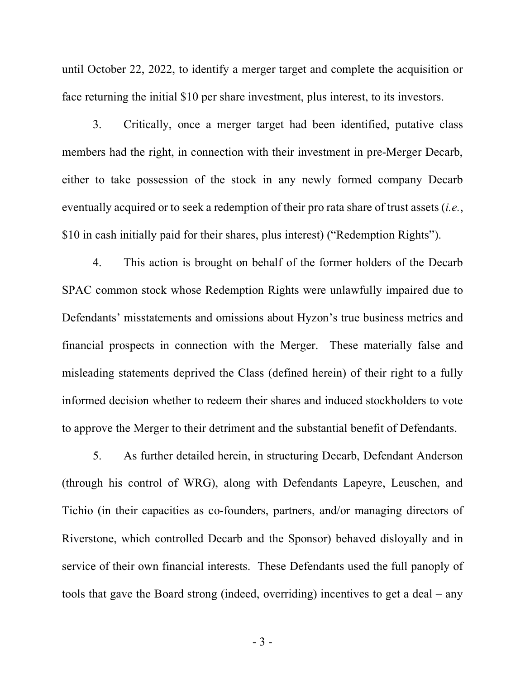until October 22, 2022, to identify a merger target and complete the acquisition or face returning the initial \$10 per share investment, plus interest, to its investors.

3. Critically, once a merger target had been identified, putative class members had the right, in connection with their investment in pre-Merger Decarb, either to take possession of the stock in any newly formed company Decarb eventually acquired or to seek a redemption of their pro rata share of trust assets (*i.e.*, \$10 in cash initially paid for their shares, plus interest) ("Redemption Rights").

4. This action is brought on behalf of the former holders of the Decarb SPAC common stock whose Redemption Rights were unlawfully impaired due to Defendants' misstatements and omissions about Hyzon's true business metrics and financial prospects in connection with the Merger. These materially false and misleading statements deprived the Class (defined herein) of their right to a fully informed decision whether to redeem their shares and induced stockholders to vote to approve the Merger to their detriment and the substantial benefit of Defendants.

5. As further detailed herein, in structuring Decarb, Defendant Anderson (through his control of WRG), along with Defendants Lapeyre, Leuschen, and Tichio (in their capacities as co-founders, partners, and/or managing directors of Riverstone, which controlled Decarb and the Sponsor) behaved disloyally and in service of their own financial interests. These Defendants used the full panoply of tools that gave the Board strong (indeed, overriding) incentives to get a deal – any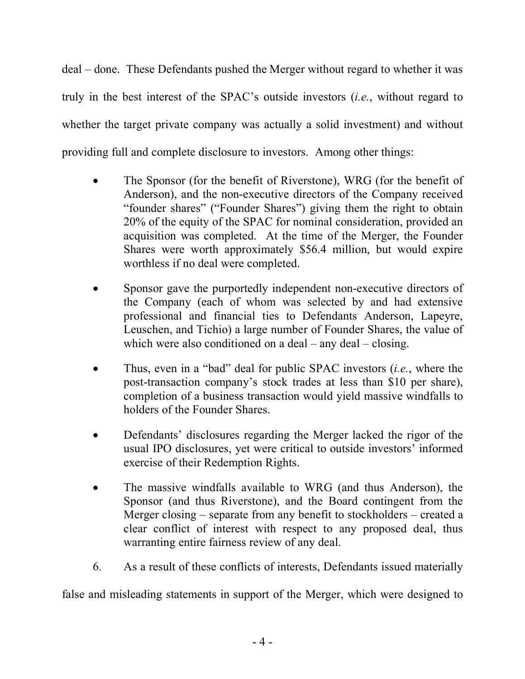deal – done. These Defendants pushed the Merger without regard to whether it was truly in the best interest of the SPAC's outside investors (*i.e.*, without regard to whether the target private company was actually a solid investment) and without providing full and complete disclosure to investors. Among other things:

- The Sponsor (for the benefit of Riverstone), WRG (for the benefit of Anderson), and the non-executive directors of the Company received "founder shares" ("Founder Shares") giving them the right to obtain 20% of the equity of the SPAC for nominal consideration, provided an acquisition was completed. At the time of the Merger, the Founder Shares were worth approximately \$56.4 million, but would expire worthless if no deal were completed.
- Sponsor gave the purportedly independent non-executive directors of the Company (each of whom was selected by and had extensive professional and financial ties to Defendants Anderson, Lapeyre, Leuschen, and Tichio) a large number of Founder Shares, the value of which were also conditioned on a deal – any deal – closing.
- Thus, even in a "bad" deal for public SPAC investors (*i.e.*, where the post-transaction company's stock trades at less than \$10 per share), completion of a business transaction would yield massive windfalls to holders of the Founder Shares.
- Defendants' disclosures regarding the Merger lacked the rigor of the usual IPO disclosures, yet were critical to outside investors' informed exercise of their Redemption Rights.
- The massive windfalls available to WRG (and thus Anderson), the Sponsor (and thus Riverstone), and the Board contingent from the Merger closing – separate from any benefit to stockholders – created a clear conflict of interest with respect to any proposed deal, thus warranting entire fairness review of any deal.
- 6. As a result of these conflicts of interests, Defendants issued materially

false and misleading statements in support of the Merger, which were designed to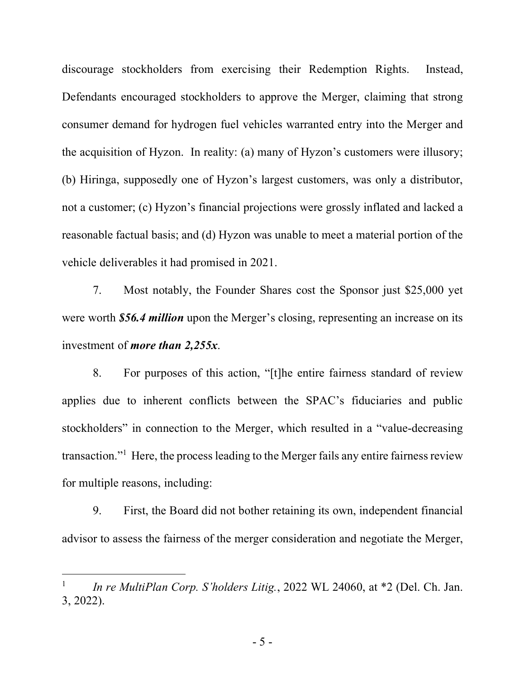discourage stockholders from exercising their Redemption Rights. Instead, Defendants encouraged stockholders to approve the Merger, claiming that strong consumer demand for hydrogen fuel vehicles warranted entry into the Merger and the acquisition of Hyzon. In reality: (a) many of Hyzon's customers were illusory; (b) Hiringa, supposedly one of Hyzon's largest customers, was only a distributor, not a customer; (c) Hyzon's financial projections were grossly inflated and lacked a reasonable factual basis; and (d) Hyzon was unable to meet a material portion of the vehicle deliverables it had promised in 2021.

7. Most notably, the Founder Shares cost the Sponsor just \$25,000 yet were worth *\$56.4 million* upon the Merger's closing, representing an increase on its investment of *more than 2,255x*.

8. For purposes of this action, "[t]he entire fairness standard of review applies due to inherent conflicts between the SPAC's fiduciaries and public stockholders" in connection to the Merger, which resulted in a "value-decreasing transaction."1 Here, the process leading to the Merger fails any entire fairness review for multiple reasons, including:

9. First, the Board did not bother retaining its own, independent financial advisor to assess the fairness of the merger consideration and negotiate the Merger,

1

In re MultiPlan Corp. S'holders Litig., 2022 WL 24060, at \*2 (Del. Ch. Jan. 3, 2022).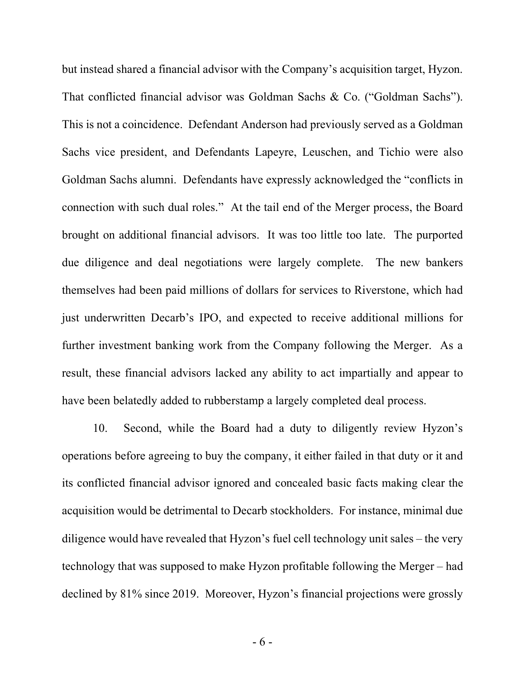but instead shared a financial advisor with the Company's acquisition target, Hyzon. That conflicted financial advisor was Goldman Sachs & Co. ("Goldman Sachs"). This is not a coincidence. Defendant Anderson had previously served as a Goldman Sachs vice president, and Defendants Lapeyre, Leuschen, and Tichio were also Goldman Sachs alumni. Defendants have expressly acknowledged the "conflicts in connection with such dual roles." At the tail end of the Merger process, the Board brought on additional financial advisors. It was too little too late. The purported due diligence and deal negotiations were largely complete. The new bankers themselves had been paid millions of dollars for services to Riverstone, which had just underwritten Decarb's IPO, and expected to receive additional millions for further investment banking work from the Company following the Merger. As a result, these financial advisors lacked any ability to act impartially and appear to have been belatedly added to rubberstamp a largely completed deal process.

10. Second, while the Board had a duty to diligently review Hyzon's operations before agreeing to buy the company, it either failed in that duty or it and its conflicted financial advisor ignored and concealed basic facts making clear the acquisition would be detrimental to Decarb stockholders. For instance, minimal due diligence would have revealed that Hyzon's fuel cell technology unit sales – the very technology that was supposed to make Hyzon profitable following the Merger – had declined by 81% since 2019. Moreover, Hyzon's financial projections were grossly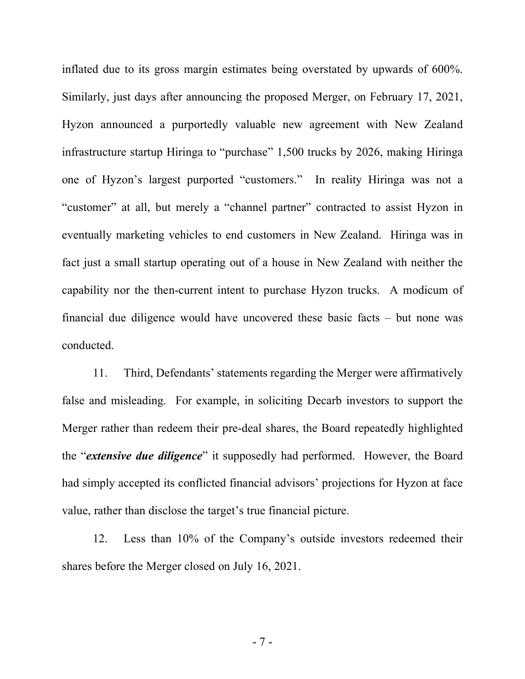inflated due to its gross margin estimates being overstated by upwards of 600%. Similarly, just days after announcing the proposed Merger, on February 17, 2021, Hyzon announced a purportedly valuable new agreement with New Zealand infrastructure startup Hiringa to "purchase" 1,500 trucks by 2026, making Hiringa one of Hyzon's largest purported "customers." In reality Hiringa was not a "customer" at all, but merely a "channel partner" contracted to assist Hyzon in eventually marketing vehicles to end customers in New Zealand. Hiringa was in fact just a small startup operating out of a house in New Zealand with neither the capability nor the then-current intent to purchase Hyzon trucks. A modicum of financial due diligence would have uncovered these basic facts – but none was conducted.

11. Third, Defendants' statements regarding the Merger were affirmatively false and misleading. For example, in soliciting Decarb investors to support the Merger rather than redeem their pre-deal shares, the Board repeatedly highlighted the "*extensive due diligence*" it supposedly had performed. However, the Board had simply accepted its conflicted financial advisors' projections for Hyzon at face value, rather than disclose the target's true financial picture.

12. Less than 10% of the Company's outside investors redeemed their shares before the Merger closed on July 16, 2021.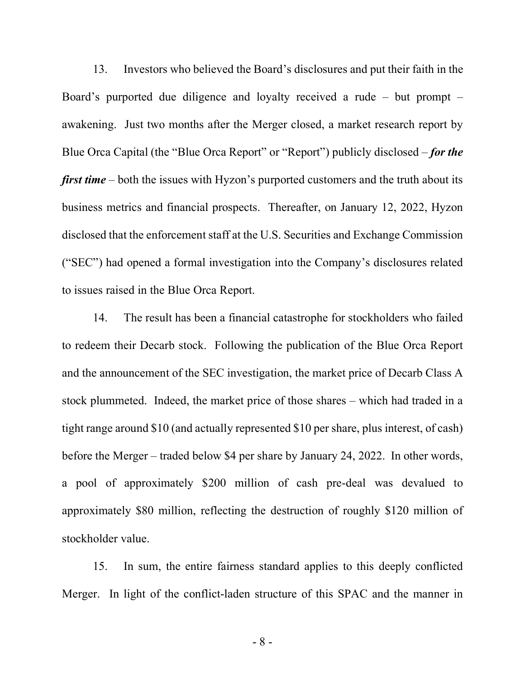13. Investors who believed the Board's disclosures and put their faith in the Board's purported due diligence and loyalty received a rude – but prompt – awakening. Just two months after the Merger closed, a market research report by Blue Orca Capital (the "Blue Orca Report" or "Report") publicly disclosed – *for the first time* – both the issues with Hyzon's purported customers and the truth about its business metrics and financial prospects. Thereafter, on January 12, 2022, Hyzon disclosed that the enforcement staff at the U.S. Securities and Exchange Commission ("SEC") had opened a formal investigation into the Company's disclosures related to issues raised in the Blue Orca Report.

14. The result has been a financial catastrophe for stockholders who failed to redeem their Decarb stock. Following the publication of the Blue Orca Report and the announcement of the SEC investigation, the market price of Decarb Class A stock plummeted. Indeed, the market price of those shares – which had traded in a tight range around \$10 (and actually represented \$10 per share, plus interest, of cash) before the Merger – traded below \$4 per share by January 24, 2022. In other words, a pool of approximately \$200 million of cash pre-deal was devalued to approximately \$80 million, reflecting the destruction of roughly \$120 million of stockholder value.

15. In sum, the entire fairness standard applies to this deeply conflicted Merger. In light of the conflict-laden structure of this SPAC and the manner in

- 8 -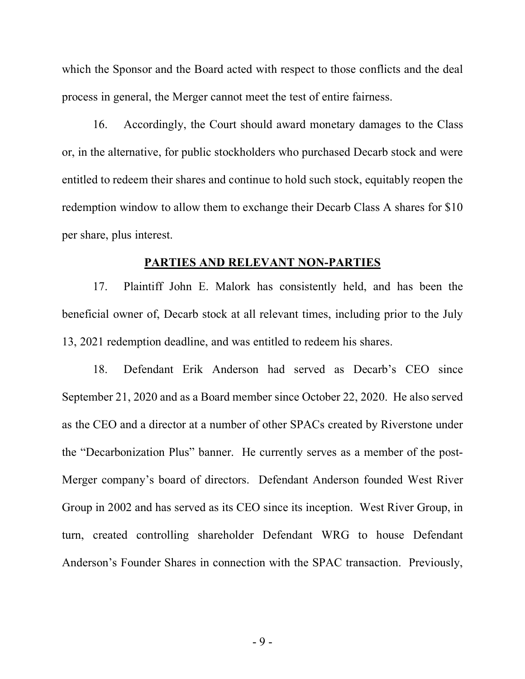which the Sponsor and the Board acted with respect to those conflicts and the deal process in general, the Merger cannot meet the test of entire fairness.

16. Accordingly, the Court should award monetary damages to the Class or, in the alternative, for public stockholders who purchased Decarb stock and were entitled to redeem their shares and continue to hold such stock, equitably reopen the redemption window to allow them to exchange their Decarb Class A shares for \$10 per share, plus interest.

#### **PARTIES AND RELEVANT NON-PARTIES**

17. Plaintiff John E. Malork has consistently held, and has been the beneficial owner of, Decarb stock at all relevant times, including prior to the July 13, 2021 redemption deadline, and was entitled to redeem his shares.

18. Defendant Erik Anderson had served as Decarb's CEO since September 21, 2020 and as a Board member since October 22, 2020. He also served as the CEO and a director at a number of other SPACs created by Riverstone under the "Decarbonization Plus" banner. He currently serves as a member of the post-Merger company's board of directors. Defendant Anderson founded West River Group in 2002 and has served as its CEO since its inception. West River Group, in turn, created controlling shareholder Defendant WRG to house Defendant Anderson's Founder Shares in connection with the SPAC transaction. Previously,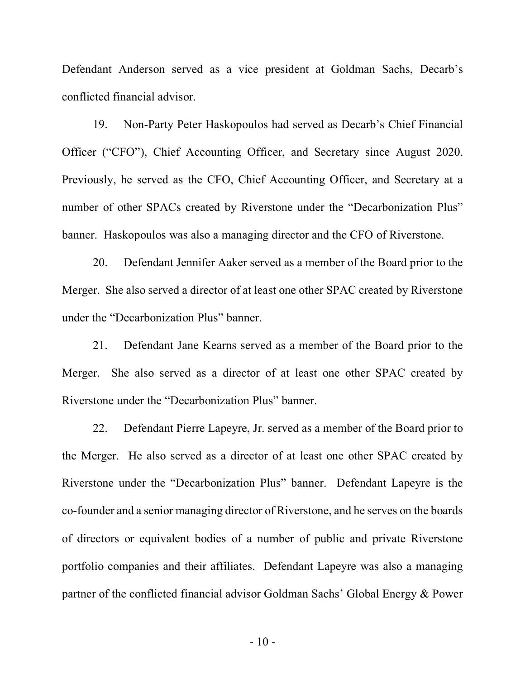Defendant Anderson served as a vice president at Goldman Sachs, Decarb's conflicted financial advisor.

19. Non-Party Peter Haskopoulos had served as Decarb's Chief Financial Officer ("CFO"), Chief Accounting Officer, and Secretary since August 2020. Previously, he served as the CFO, Chief Accounting Officer, and Secretary at a number of other SPACs created by Riverstone under the "Decarbonization Plus" banner. Haskopoulos was also a managing director and the CFO of Riverstone.

20. Defendant Jennifer Aaker served as a member of the Board prior to the Merger. She also served a director of at least one other SPAC created by Riverstone under the "Decarbonization Plus" banner.

21. Defendant Jane Kearns served as a member of the Board prior to the Merger. She also served as a director of at least one other SPAC created by Riverstone under the "Decarbonization Plus" banner.

22. Defendant Pierre Lapeyre, Jr. served as a member of the Board prior to the Merger. He also served as a director of at least one other SPAC created by Riverstone under the "Decarbonization Plus" banner. Defendant Lapeyre is the co-founder and a senior managing director of Riverstone, and he serves on the boards of directors or equivalent bodies of a number of public and private Riverstone portfolio companies and their affiliates. Defendant Lapeyre was also a managing partner of the conflicted financial advisor Goldman Sachs' Global Energy & Power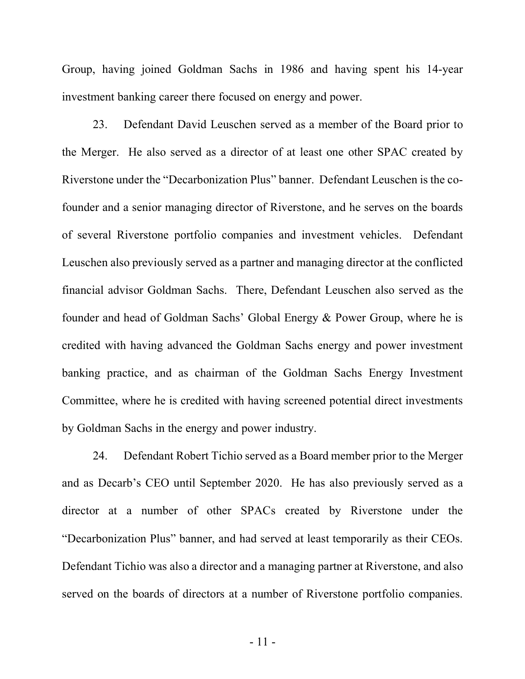Group, having joined Goldman Sachs in 1986 and having spent his 14-year investment banking career there focused on energy and power.

23. Defendant David Leuschen served as a member of the Board prior to the Merger. He also served as a director of at least one other SPAC created by Riverstone under the "Decarbonization Plus" banner. Defendant Leuschen is the cofounder and a senior managing director of Riverstone, and he serves on the boards of several Riverstone portfolio companies and investment vehicles. Defendant Leuschen also previously served as a partner and managing director at the conflicted financial advisor Goldman Sachs. There, Defendant Leuschen also served as the founder and head of Goldman Sachs' Global Energy & Power Group, where he is credited with having advanced the Goldman Sachs energy and power investment banking practice, and as chairman of the Goldman Sachs Energy Investment Committee, where he is credited with having screened potential direct investments by Goldman Sachs in the energy and power industry.

24. Defendant Robert Tichio served as a Board member prior to the Merger and as Decarb's CEO until September 2020. He has also previously served as a director at a number of other SPACs created by Riverstone under the "Decarbonization Plus" banner, and had served at least temporarily as their CEOs. Defendant Tichio was also a director and a managing partner at Riverstone, and also served on the boards of directors at a number of Riverstone portfolio companies.

- 11 -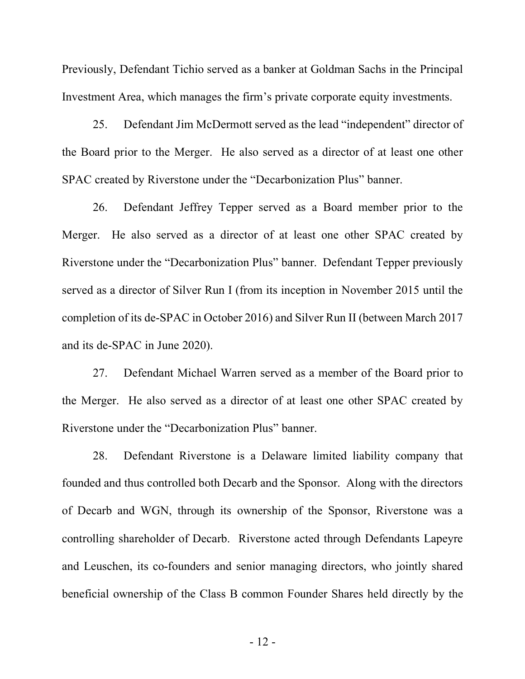Previously, Defendant Tichio served as a banker at Goldman Sachs in the Principal Investment Area, which manages the firm's private corporate equity investments.

25. Defendant Jim McDermott served as the lead "independent" director of the Board prior to the Merger. He also served as a director of at least one other SPAC created by Riverstone under the "Decarbonization Plus" banner.

26. Defendant Jeffrey Tepper served as a Board member prior to the Merger. He also served as a director of at least one other SPAC created by Riverstone under the "Decarbonization Plus" banner. Defendant Tepper previously served as a director of Silver Run I (from its inception in November 2015 until the completion of its de-SPAC in October 2016) and Silver Run II (between March 2017 and its de-SPAC in June 2020).

27. Defendant Michael Warren served as a member of the Board prior to the Merger. He also served as a director of at least one other SPAC created by Riverstone under the "Decarbonization Plus" banner.

28. Defendant Riverstone is a Delaware limited liability company that founded and thus controlled both Decarb and the Sponsor. Along with the directors of Decarb and WGN, through its ownership of the Sponsor, Riverstone was a controlling shareholder of Decarb. Riverstone acted through Defendants Lapeyre and Leuschen, its co-founders and senior managing directors, who jointly shared beneficial ownership of the Class B common Founder Shares held directly by the

- 12 -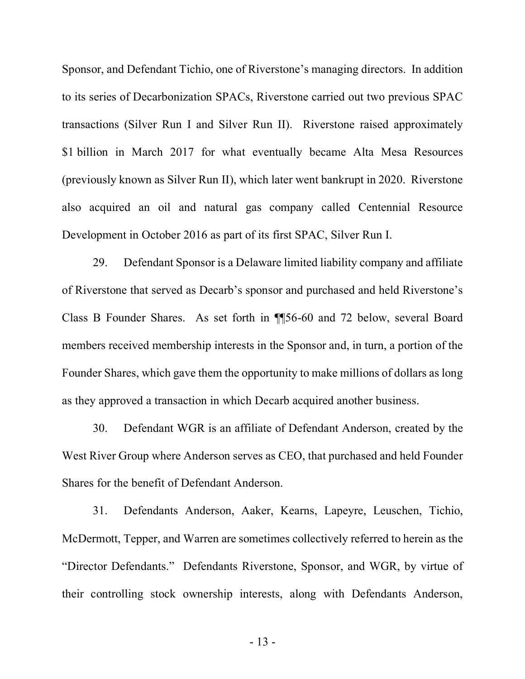Sponsor, and Defendant Tichio, one of Riverstone's managing directors. In addition to its series of Decarbonization SPACs, Riverstone carried out two previous SPAC transactions (Silver Run I and Silver Run II). Riverstone raised approximately \$1 billion in March 2017 for what eventually became Alta Mesa Resources (previously known as Silver Run II), which later went bankrupt in 2020. Riverstone also acquired an oil and natural gas company called Centennial Resource Development in October 2016 as part of its first SPAC, Silver Run I.

29. Defendant Sponsor is a Delaware limited liability company and affiliate of Riverstone that served as Decarb's sponsor and purchased and held Riverstone's Class B Founder Shares. As set forth in ¶¶56-60 and 72 below, several Board members received membership interests in the Sponsor and, in turn, a portion of the Founder Shares, which gave them the opportunity to make millions of dollars as long as they approved a transaction in which Decarb acquired another business.

30. Defendant WGR is an affiliate of Defendant Anderson, created by the West River Group where Anderson serves as CEO, that purchased and held Founder Shares for the benefit of Defendant Anderson.

31. Defendants Anderson, Aaker, Kearns, Lapeyre, Leuschen, Tichio, McDermott, Tepper, and Warren are sometimes collectively referred to herein as the "Director Defendants." Defendants Riverstone, Sponsor, and WGR, by virtue of their controlling stock ownership interests, along with Defendants Anderson,

- 13 -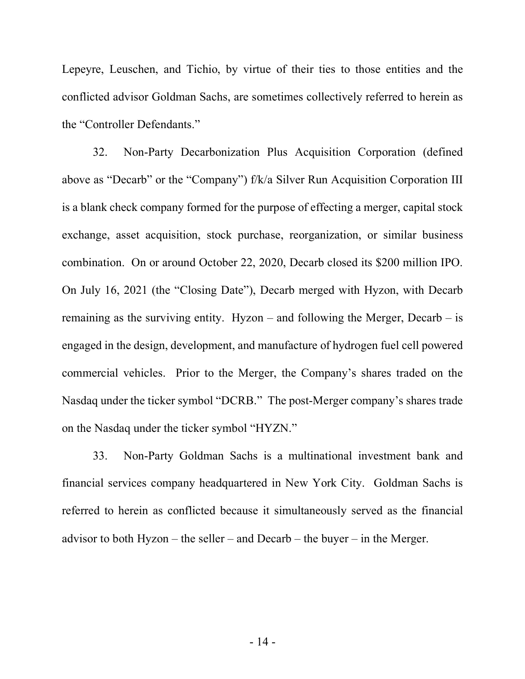Lepeyre, Leuschen, and Tichio, by virtue of their ties to those entities and the conflicted advisor Goldman Sachs, are sometimes collectively referred to herein as the "Controller Defendants."

32. Non-Party Decarbonization Plus Acquisition Corporation (defined above as "Decarb" or the "Company") f/k/a Silver Run Acquisition Corporation III is a blank check company formed for the purpose of effecting a merger, capital stock exchange, asset acquisition, stock purchase, reorganization, or similar business combination. On or around October 22, 2020, Decarb closed its \$200 million IPO. On July 16, 2021 (the "Closing Date"), Decarb merged with Hyzon, with Decarb remaining as the surviving entity. Hyzon – and following the Merger, Decarb – is engaged in the design, development, and manufacture of hydrogen fuel cell powered commercial vehicles. Prior to the Merger, the Company's shares traded on the Nasdaq under the ticker symbol "DCRB." The post-Merger company's shares trade on the Nasdaq under the ticker symbol "HYZN."

33. Non-Party Goldman Sachs is a multinational investment bank and financial services company headquartered in New York City. Goldman Sachs is referred to herein as conflicted because it simultaneously served as the financial advisor to both Hyzon – the seller – and Decarb – the buyer – in the Merger.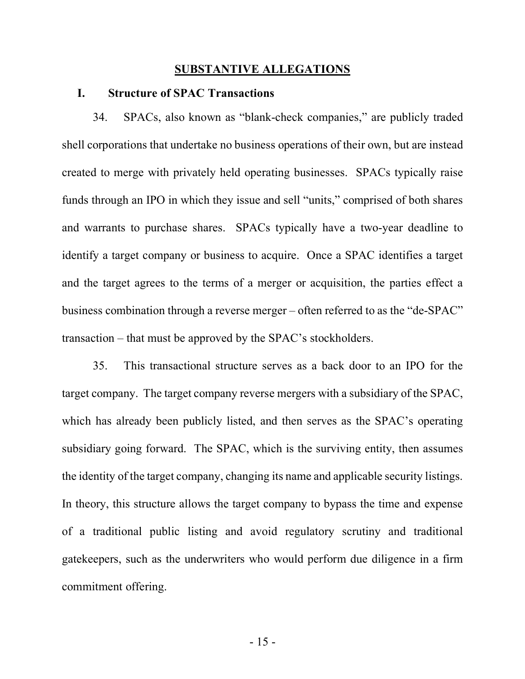### **SUBSTANTIVE ALLEGATIONS**

### **I. Structure of SPAC Transactions**

34. SPACs, also known as "blank-check companies," are publicly traded shell corporations that undertake no business operations of their own, but are instead created to merge with privately held operating businesses. SPACs typically raise funds through an IPO in which they issue and sell "units," comprised of both shares and warrants to purchase shares. SPACs typically have a two-year deadline to identify a target company or business to acquire. Once a SPAC identifies a target and the target agrees to the terms of a merger or acquisition, the parties effect a business combination through a reverse merger – often referred to as the "de-SPAC" transaction – that must be approved by the SPAC's stockholders.

35. This transactional structure serves as a back door to an IPO for the target company. The target company reverse mergers with a subsidiary of the SPAC, which has already been publicly listed, and then serves as the SPAC's operating subsidiary going forward. The SPAC, which is the surviving entity, then assumes the identity of the target company, changing its name and applicable security listings. In theory, this structure allows the target company to bypass the time and expense of a traditional public listing and avoid regulatory scrutiny and traditional gatekeepers, such as the underwriters who would perform due diligence in a firm commitment offering.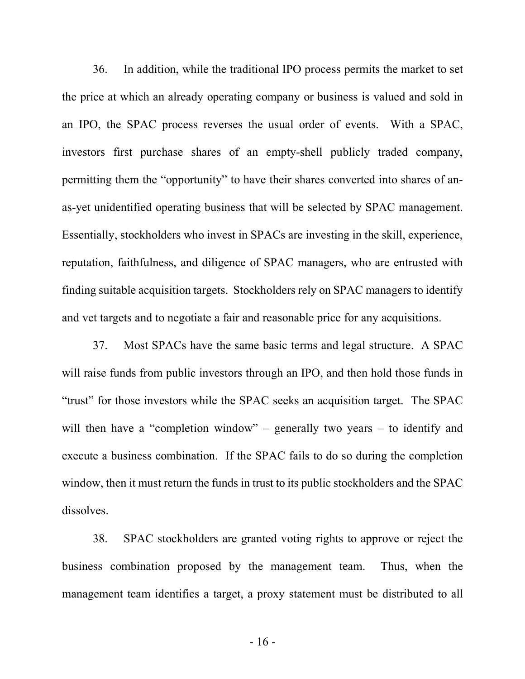36. In addition, while the traditional IPO process permits the market to set the price at which an already operating company or business is valued and sold in an IPO, the SPAC process reverses the usual order of events. With a SPAC, investors first purchase shares of an empty-shell publicly traded company, permitting them the "opportunity" to have their shares converted into shares of anas-yet unidentified operating business that will be selected by SPAC management. Essentially, stockholders who invest in SPACs are investing in the skill, experience, reputation, faithfulness, and diligence of SPAC managers, who are entrusted with finding suitable acquisition targets. Stockholders rely on SPAC managers to identify and vet targets and to negotiate a fair and reasonable price for any acquisitions.

37. Most SPACs have the same basic terms and legal structure. A SPAC will raise funds from public investors through an IPO, and then hold those funds in "trust" for those investors while the SPAC seeks an acquisition target. The SPAC will then have a "completion window" – generally two years – to identify and execute a business combination. If the SPAC fails to do so during the completion window, then it must return the funds in trust to its public stockholders and the SPAC dissolves.

38. SPAC stockholders are granted voting rights to approve or reject the business combination proposed by the management team. Thus, when the management team identifies a target, a proxy statement must be distributed to all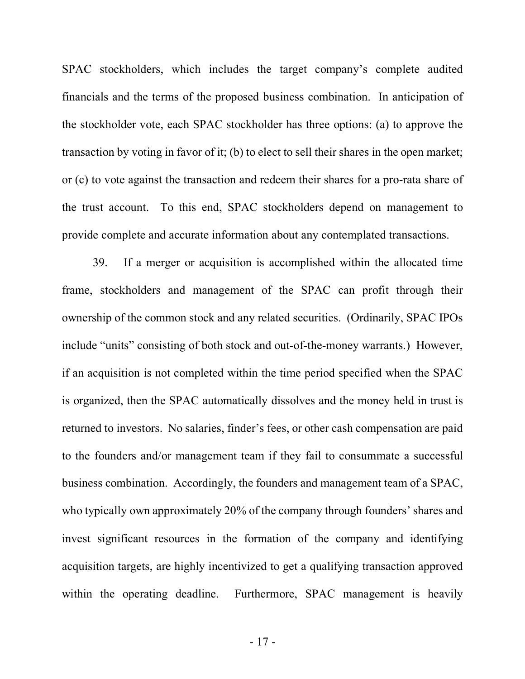SPAC stockholders, which includes the target company's complete audited financials and the terms of the proposed business combination. In anticipation of the stockholder vote, each SPAC stockholder has three options: (a) to approve the transaction by voting in favor of it; (b) to elect to sell their shares in the open market; or (c) to vote against the transaction and redeem their shares for a pro-rata share of the trust account. To this end, SPAC stockholders depend on management to provide complete and accurate information about any contemplated transactions.

39. If a merger or acquisition is accomplished within the allocated time frame, stockholders and management of the SPAC can profit through their ownership of the common stock and any related securities. (Ordinarily, SPAC IPOs include "units" consisting of both stock and out-of-the-money warrants.) However, if an acquisition is not completed within the time period specified when the SPAC is organized, then the SPAC automatically dissolves and the money held in trust is returned to investors. No salaries, finder's fees, or other cash compensation are paid to the founders and/or management team if they fail to consummate a successful business combination. Accordingly, the founders and management team of a SPAC, who typically own approximately 20% of the company through founders' shares and invest significant resources in the formation of the company and identifying acquisition targets, are highly incentivized to get a qualifying transaction approved within the operating deadline. Furthermore, SPAC management is heavily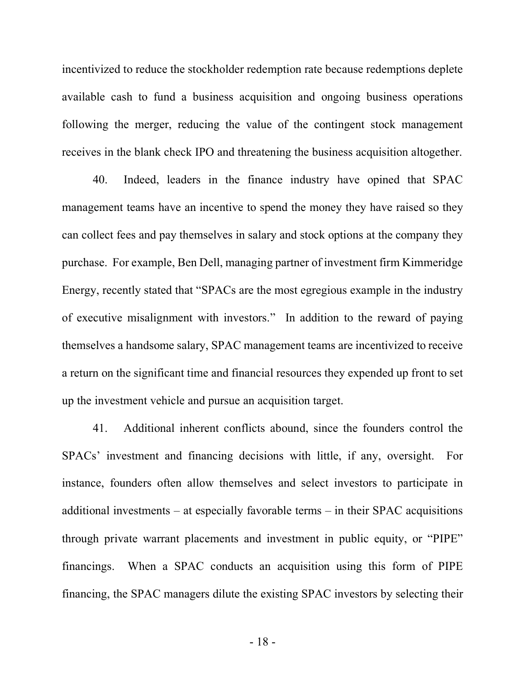incentivized to reduce the stockholder redemption rate because redemptions deplete available cash to fund a business acquisition and ongoing business operations following the merger, reducing the value of the contingent stock management receives in the blank check IPO and threatening the business acquisition altogether.

40. Indeed, leaders in the finance industry have opined that SPAC management teams have an incentive to spend the money they have raised so they can collect fees and pay themselves in salary and stock options at the company they purchase. For example, Ben Dell, managing partner of investment firm Kimmeridge Energy, recently stated that "SPACs are the most egregious example in the industry of executive misalignment with investors." In addition to the reward of paying themselves a handsome salary, SPAC management teams are incentivized to receive a return on the significant time and financial resources they expended up front to set up the investment vehicle and pursue an acquisition target.

41. Additional inherent conflicts abound, since the founders control the SPACs' investment and financing decisions with little, if any, oversight. For instance, founders often allow themselves and select investors to participate in additional investments – at especially favorable terms – in their SPAC acquisitions through private warrant placements and investment in public equity, or "PIPE" financings. When a SPAC conducts an acquisition using this form of PIPE financing, the SPAC managers dilute the existing SPAC investors by selecting their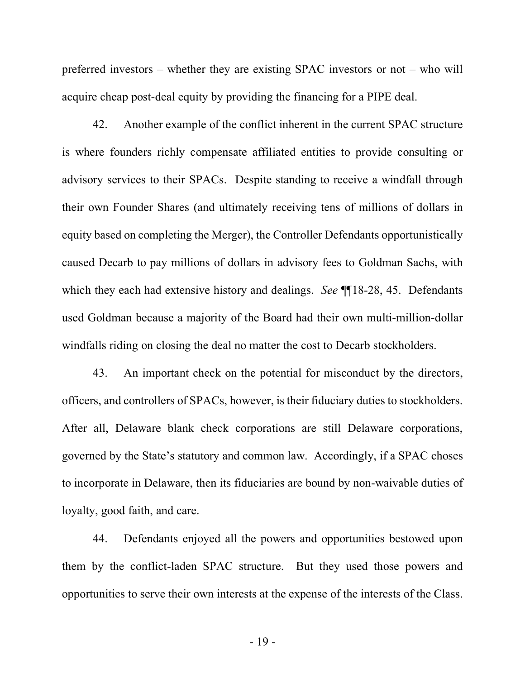preferred investors – whether they are existing SPAC investors or not – who will acquire cheap post-deal equity by providing the financing for a PIPE deal.

42. Another example of the conflict inherent in the current SPAC structure is where founders richly compensate affiliated entities to provide consulting or advisory services to their SPACs. Despite standing to receive a windfall through their own Founder Shares (and ultimately receiving tens of millions of dollars in equity based on completing the Merger), the Controller Defendants opportunistically caused Decarb to pay millions of dollars in advisory fees to Goldman Sachs, with which they each had extensive history and dealings. *See* ¶¶18-28, 45. Defendants used Goldman because a majority of the Board had their own multi-million-dollar windfalls riding on closing the deal no matter the cost to Decarb stockholders.

43. An important check on the potential for misconduct by the directors, officers, and controllers of SPACs, however, is their fiduciary duties to stockholders. After all, Delaware blank check corporations are still Delaware corporations, governed by the State's statutory and common law. Accordingly, if a SPAC choses to incorporate in Delaware, then its fiduciaries are bound by non-waivable duties of loyalty, good faith, and care.

44. Defendants enjoyed all the powers and opportunities bestowed upon them by the conflict-laden SPAC structure. But they used those powers and opportunities to serve their own interests at the expense of the interests of the Class.

- 19 -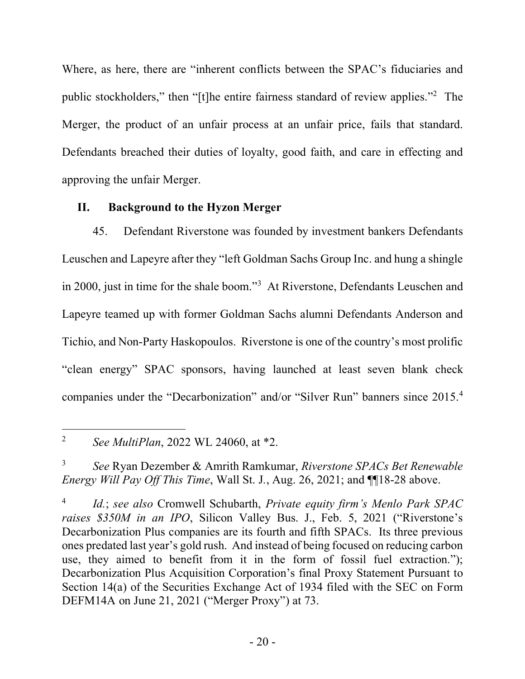Where, as here, there are "inherent conflicts between the SPAC's fiduciaries and public stockholders," then "[t]he entire fairness standard of review applies."2 The Merger, the product of an unfair process at an unfair price, fails that standard. Defendants breached their duties of loyalty, good faith, and care in effecting and approving the unfair Merger.

# **II. Background to the Hyzon Merger**

45. Defendant Riverstone was founded by investment bankers Defendants Leuschen and Lapeyre after they "left Goldman Sachs Group Inc. and hung a shingle in 2000, just in time for the shale boom."3 At Riverstone, Defendants Leuschen and Lapeyre teamed up with former Goldman Sachs alumni Defendants Anderson and Tichio, and Non-Party Haskopoulos. Riverstone is one of the country's most prolific "clean energy" SPAC sponsors, having launched at least seven blank check companies under the "Decarbonization" and/or "Silver Run" banners since 2015.4

<sup>&</sup>lt;u>.</u> <sup>2</sup> *See MultiPlan*, 2022 WL 24060, at \*2.

<sup>3</sup> *See* Ryan Dezember & Amrith Ramkumar, *Riverstone SPACs Bet Renewable Energy Will Pay Off This Time*, Wall St. J*.*, Aug. 26, 2021; and ¶¶18-28 above.

<sup>4</sup> *Id.*; *see also* Cromwell Schubarth, *Private equity firm's Menlo Park SPAC raises \$350M in an IPO*, Silicon Valley Bus. J., Feb. 5, 2021 ("Riverstone's Decarbonization Plus companies are its fourth and fifth SPACs. Its three previous ones predated last year's gold rush. And instead of being focused on reducing carbon use, they aimed to benefit from it in the form of fossil fuel extraction."); Decarbonization Plus Acquisition Corporation's final Proxy Statement Pursuant to Section 14(a) of the Securities Exchange Act of 1934 filed with the SEC on Form DEFM14A on June 21, 2021 ("Merger Proxy") at 73.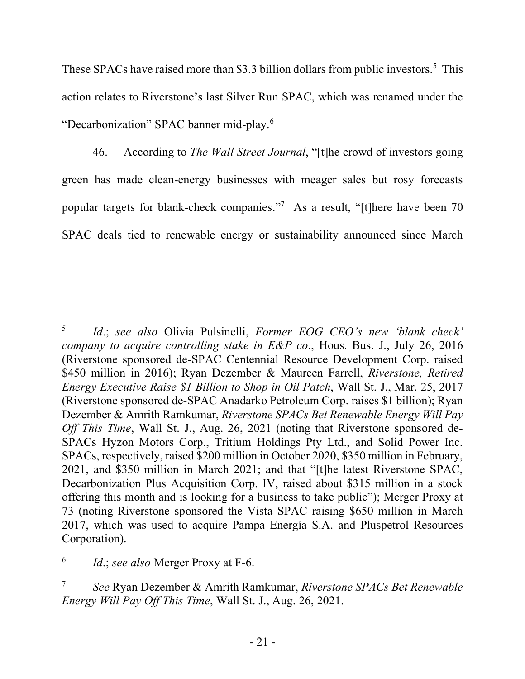These SPACs have raised more than \$3.3 billion dollars from public investors.<sup>5</sup> This action relates to Riverstone's last Silver Run SPAC, which was renamed under the "Decarbonization" SPAC banner mid-play.6

46. According to *The Wall Street Journal*, "[t]he crowd of investors going green has made clean-energy businesses with meager sales but rosy forecasts popular targets for blank-check companies."7 As a result, "[t]here have been 70 SPAC deals tied to renewable energy or sustainability announced since March

1

<sup>5</sup> *Id*.; *see also* Olivia Pulsinelli, *Former EOG CEO's new 'blank check' company to acquire controlling stake in E&P co*., Hous. Bus. J., July 26, 2016 (Riverstone sponsored de-SPAC Centennial Resource Development Corp. raised \$450 million in 2016); Ryan Dezember & Maureen Farrell, *Riverstone, Retired Energy Executive Raise \$1 Billion to Shop in Oil Patch*, Wall St. J., Mar. 25, 2017 (Riverstone sponsored de-SPAC Anadarko Petroleum Corp. raises \$1 billion); Ryan Dezember & Amrith Ramkumar, *Riverstone SPACs Bet Renewable Energy Will Pay Off This Time*, Wall St. J., Aug. 26, 2021 (noting that Riverstone sponsored de-SPACs Hyzon Motors Corp., Tritium Holdings Pty Ltd., and Solid Power Inc. SPACs, respectively, raised \$200 million in October 2020, \$350 million in February, 2021, and \$350 million in March 2021; and that "[t]he latest Riverstone SPAC, Decarbonization Plus Acquisition Corp. IV, raised about \$315 million in a stock offering this month and is looking for a business to take public"); Merger Proxy at 73 (noting Riverstone sponsored the Vista SPAC raising \$650 million in March 2017, which was used to acquire Pampa Energía S.A. and Pluspetrol Resources Corporation).

<sup>6</sup> *Id*.; *see also* Merger Proxy at F-6.

<sup>7</sup> *See* Ryan Dezember & Amrith Ramkumar, *Riverstone SPACs Bet Renewable Energy Will Pay Off This Time*, Wall St. J., Aug. 26, 2021.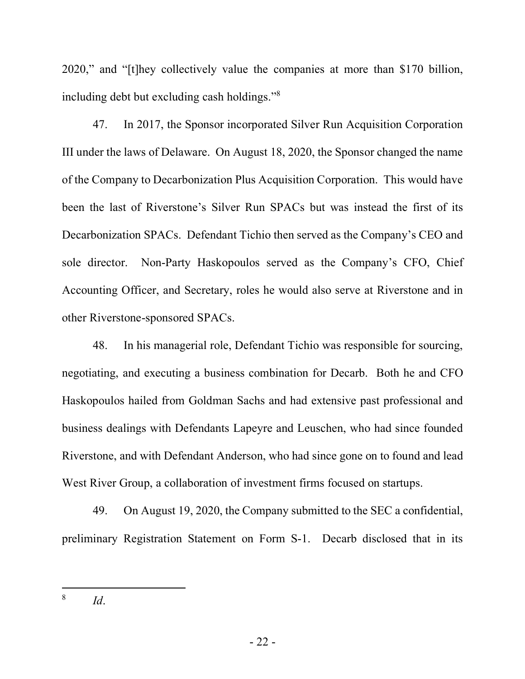2020," and "[t]hey collectively value the companies at more than \$170 billion, including debt but excluding cash holdings."8

47. In 2017, the Sponsor incorporated Silver Run Acquisition Corporation III under the laws of Delaware. On August 18, 2020, the Sponsor changed the name of the Company to Decarbonization Plus Acquisition Corporation. This would have been the last of Riverstone's Silver Run SPACs but was instead the first of its Decarbonization SPACs. Defendant Tichio then served as the Company's CEO and sole director. Non-Party Haskopoulos served as the Company's CFO, Chief Accounting Officer, and Secretary, roles he would also serve at Riverstone and in other Riverstone-sponsored SPACs.

48. In his managerial role, Defendant Tichio was responsible for sourcing, negotiating, and executing a business combination for Decarb. Both he and CFO Haskopoulos hailed from Goldman Sachs and had extensive past professional and business dealings with Defendants Lapeyre and Leuschen, who had since founded Riverstone, and with Defendant Anderson, who had since gone on to found and lead West River Group, a collaboration of investment firms focused on startups.

49. On August 19, 2020, the Company submitted to the SEC a confidential, preliminary Registration Statement on Form S-1. Decarb disclosed that in its

1

<sup>8</sup> *Id*.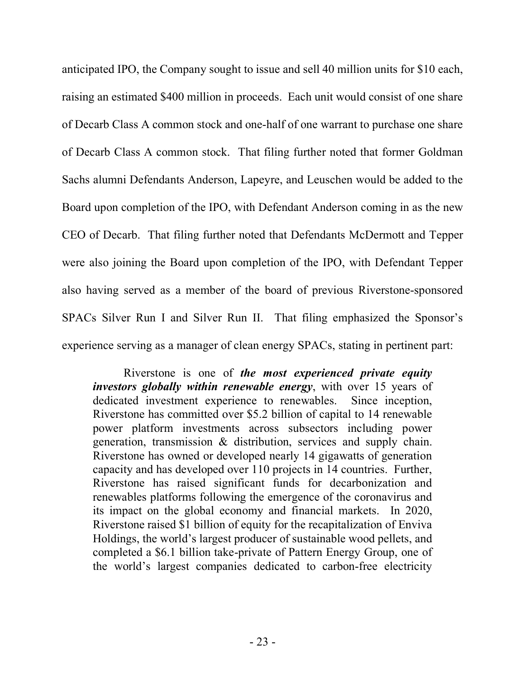anticipated IPO, the Company sought to issue and sell 40 million units for \$10 each, raising an estimated \$400 million in proceeds. Each unit would consist of one share of Decarb Class A common stock and one-half of one warrant to purchase one share of Decarb Class A common stock. That filing further noted that former Goldman Sachs alumni Defendants Anderson, Lapeyre, and Leuschen would be added to the Board upon completion of the IPO, with Defendant Anderson coming in as the new CEO of Decarb. That filing further noted that Defendants McDermott and Tepper were also joining the Board upon completion of the IPO, with Defendant Tepper also having served as a member of the board of previous Riverstone-sponsored SPACs Silver Run I and Silver Run II. That filing emphasized the Sponsor's experience serving as a manager of clean energy SPACs, stating in pertinent part:

Riverstone is one of *the most experienced private equity investors globally within renewable energy*, with over 15 years of dedicated investment experience to renewables. Since inception, Riverstone has committed over \$5.2 billion of capital to 14 renewable power platform investments across subsectors including power generation, transmission & distribution, services and supply chain. Riverstone has owned or developed nearly 14 gigawatts of generation capacity and has developed over 110 projects in 14 countries. Further, Riverstone has raised significant funds for decarbonization and renewables platforms following the emergence of the coronavirus and its impact on the global economy and financial markets. In 2020, Riverstone raised \$1 billion of equity for the recapitalization of Enviva Holdings, the world's largest producer of sustainable wood pellets, and completed a \$6.1 billion take-private of Pattern Energy Group, one of the world's largest companies dedicated to carbon-free electricity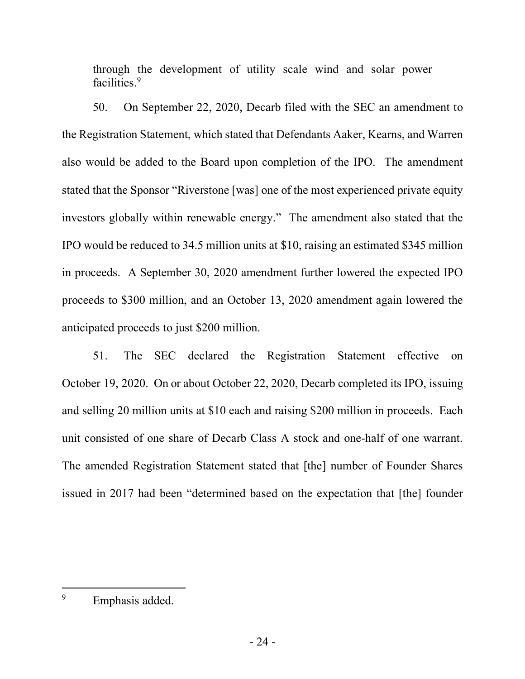through the development of utility scale wind and solar power facilities.<sup>9</sup>

50. On September 22, 2020, Decarb filed with the SEC an amendment to the Registration Statement, which stated that Defendants Aaker, Kearns, and Warren also would be added to the Board upon completion of the IPO. The amendment stated that the Sponsor "Riverstone [was] one of the most experienced private equity investors globally within renewable energy." The amendment also stated that the IPO would be reduced to 34.5 million units at \$10, raising an estimated \$345 million in proceeds. A September 30, 2020 amendment further lowered the expected IPO proceeds to \$300 million, and an October 13, 2020 amendment again lowered the anticipated proceeds to just \$200 million.

51. The SEC declared the Registration Statement effective on October 19, 2020. On or about October 22, 2020, Decarb completed its IPO, issuing and selling 20 million units at \$10 each and raising \$200 million in proceeds. Each unit consisted of one share of Decarb Class A stock and one-half of one warrant. The amended Registration Statement stated that [the] number of Founder Shares issued in 2017 had been "determined based on the expectation that [the] founder

<sup>9</sup> Emphasis added.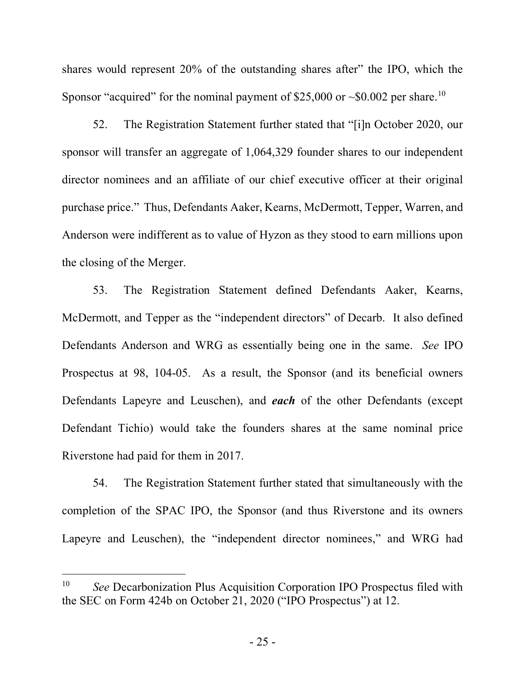shares would represent 20% of the outstanding shares after" the IPO, which the Sponsor "acquired" for the nominal payment of \$25,000 or  $\sim 0.002$  per share.<sup>10</sup>

52. The Registration Statement further stated that "[i]n October 2020, our sponsor will transfer an aggregate of 1,064,329 founder shares to our independent director nominees and an affiliate of our chief executive officer at their original purchase price." Thus, Defendants Aaker, Kearns, McDermott, Tepper, Warren, and Anderson were indifferent as to value of Hyzon as they stood to earn millions upon the closing of the Merger.

53. The Registration Statement defined Defendants Aaker, Kearns, McDermott, and Tepper as the "independent directors" of Decarb. It also defined Defendants Anderson and WRG as essentially being one in the same. *See* IPO Prospectus at 98, 104-05. As a result, the Sponsor (and its beneficial owners Defendants Lapeyre and Leuschen), and *each* of the other Defendants (except Defendant Tichio) would take the founders shares at the same nominal price Riverstone had paid for them in 2017.

54. The Registration Statement further stated that simultaneously with the completion of the SPAC IPO, the Sponsor (and thus Riverstone and its owners Lapeyre and Leuschen), the "independent director nominees," and WRG had

1

<sup>10</sup> *See* Decarbonization Plus Acquisition Corporation IPO Prospectus filed with the SEC on Form 424b on October 21, 2020 ("IPO Prospectus") at 12.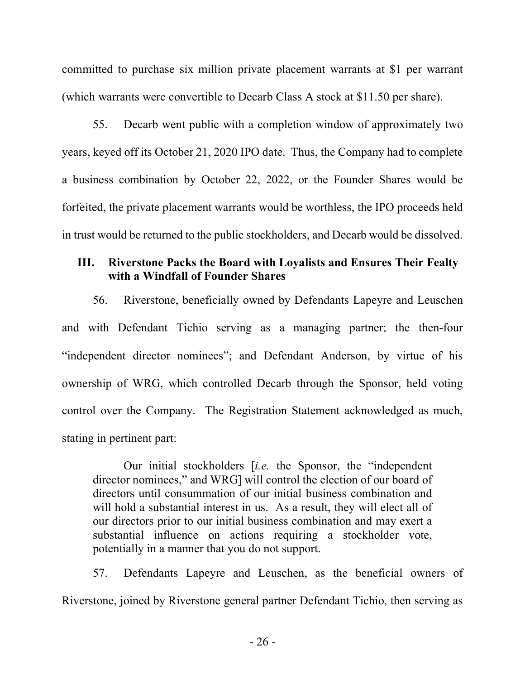committed to purchase six million private placement warrants at \$1 per warrant (which warrants were convertible to Decarb Class A stock at \$11.50 per share).

55. Decarb went public with a completion window of approximately two years, keyed off its October 21, 2020 IPO date. Thus, the Company had to complete a business combination by October 22, 2022, or the Founder Shares would be forfeited, the private placement warrants would be worthless, the IPO proceeds held in trust would be returned to the public stockholders, and Decarb would be dissolved.

# **III. Riverstone Packs the Board with Loyalists and Ensures Their Fealty with a Windfall of Founder Shares**

56. Riverstone, beneficially owned by Defendants Lapeyre and Leuschen and with Defendant Tichio serving as a managing partner; the then-four "independent director nominees"; and Defendant Anderson, by virtue of his ownership of WRG, which controlled Decarb through the Sponsor, held voting control over the Company. The Registration Statement acknowledged as much, stating in pertinent part:

Our initial stockholders [*i.e.* the Sponsor, the "independent director nominees," and WRG] will control the election of our board of directors until consummation of our initial business combination and will hold a substantial interest in us. As a result, they will elect all of our directors prior to our initial business combination and may exert a substantial influence on actions requiring a stockholder vote, potentially in a manner that you do not support.

57. Defendants Lapeyre and Leuschen, as the beneficial owners of Riverstone, joined by Riverstone general partner Defendant Tichio, then serving as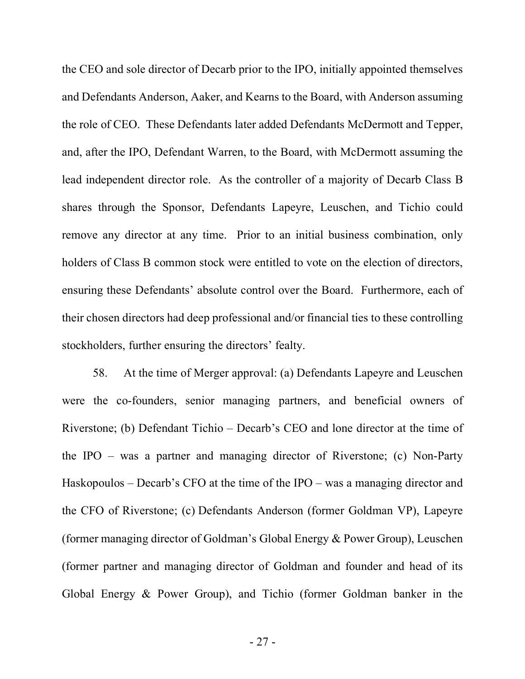the CEO and sole director of Decarb prior to the IPO, initially appointed themselves and Defendants Anderson, Aaker, and Kearns to the Board, with Anderson assuming the role of CEO. These Defendants later added Defendants McDermott and Tepper, and, after the IPO, Defendant Warren, to the Board, with McDermott assuming the lead independent director role. As the controller of a majority of Decarb Class B shares through the Sponsor, Defendants Lapeyre, Leuschen, and Tichio could remove any director at any time. Prior to an initial business combination, only holders of Class B common stock were entitled to vote on the election of directors, ensuring these Defendants' absolute control over the Board. Furthermore, each of their chosen directors had deep professional and/or financial ties to these controlling stockholders, further ensuring the directors' fealty.

58. At the time of Merger approval: (a) Defendants Lapeyre and Leuschen were the co-founders, senior managing partners, and beneficial owners of Riverstone; (b) Defendant Tichio – Decarb's CEO and lone director at the time of the IPO – was a partner and managing director of Riverstone; (c) Non-Party Haskopoulos – Decarb's CFO at the time of the IPO – was a managing director and the CFO of Riverstone; (c) Defendants Anderson (former Goldman VP), Lapeyre (former managing director of Goldman's Global Energy & Power Group), Leuschen (former partner and managing director of Goldman and founder and head of its Global Energy & Power Group), and Tichio (former Goldman banker in the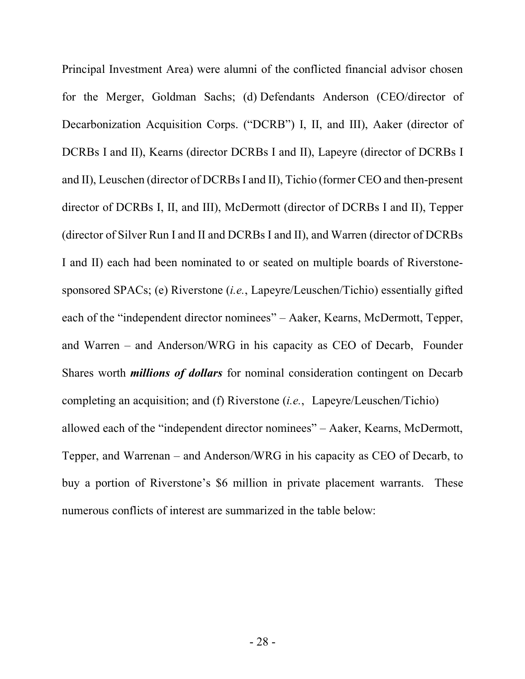Principal Investment Area) were alumni of the conflicted financial advisor chosen for the Merger, Goldman Sachs; (d) Defendants Anderson (CEO/director of Decarbonization Acquisition Corps. ("DCRB") I, II, and III), Aaker (director of DCRBs I and II), Kearns (director DCRBs I and II), Lapeyre (director of DCRBs I and II), Leuschen (director of DCRBs I and II), Tichio (former CEO and then-present director of DCRBs I, II, and III), McDermott (director of DCRBs I and II), Tepper (director of Silver Run I and II and DCRBs I and II), and Warren (director of DCRBs I and II) each had been nominated to or seated on multiple boards of Riverstonesponsored SPACs; (e) Riverstone (*i.e.*, Lapeyre/Leuschen/Tichio) essentially gifted each of the "independent director nominees" – Aaker, Kearns, McDermott, Tepper, and Warren – and Anderson/WRG in his capacity as CEO of Decarb, Founder Shares worth *millions of dollars* for nominal consideration contingent on Decarb completing an acquisition; and (f) Riverstone (*i.e.*, Lapeyre/Leuschen/Tichio) allowed each of the "independent director nominees" – Aaker, Kearns, McDermott, Tepper, and Warrenan – and Anderson/WRG in his capacity as CEO of Decarb, to buy a portion of Riverstone's \$6 million in private placement warrants. These numerous conflicts of interest are summarized in the table below: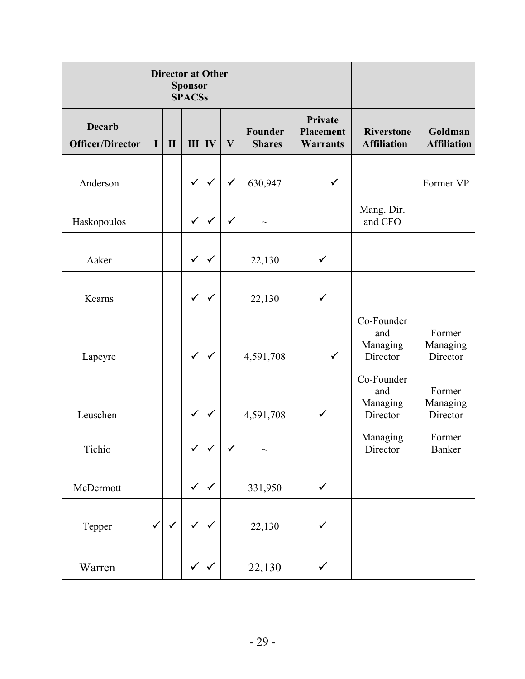|                                          | <b>Director at Other</b><br><b>Sponsor</b><br><b>SPACSs</b> |              |              |              |              |                                                                            |              |                                           |                                |                               |  |
|------------------------------------------|-------------------------------------------------------------|--------------|--------------|--------------|--------------|----------------------------------------------------------------------------|--------------|-------------------------------------------|--------------------------------|-------------------------------|--|
| <b>Decarb</b><br><b>Officer/Director</b> | I                                                           | $\mathbf{I}$ | III          | IV           | $\mathbf{V}$ | Private<br>Founder<br><b>Placement</b><br><b>Warrants</b><br><b>Shares</b> |              | <b>Riverstone</b><br><b>Affiliation</b>   |                                | Goldman<br><b>Affiliation</b> |  |
| Anderson                                 |                                                             |              | $\checkmark$ | $\checkmark$ | ✓            | 630,947                                                                    | $\checkmark$ |                                           | Former VP                      |                               |  |
| Haskopoulos                              |                                                             |              |              |              | ✓            | $\sim$                                                                     |              | Mang. Dir.<br>and CFO                     |                                |                               |  |
| Aaker                                    |                                                             |              | $\checkmark$ | $\checkmark$ |              | 22,130                                                                     | $\checkmark$ |                                           |                                |                               |  |
| Kearns                                   |                                                             |              |              | $\checkmark$ |              | 22,130                                                                     | $\checkmark$ |                                           |                                |                               |  |
| Lapeyre                                  |                                                             |              | $\checkmark$ | $\checkmark$ |              | 4,591,708                                                                  | $\checkmark$ | Co-Founder<br>and<br>Managing<br>Director | Former<br>Managing<br>Director |                               |  |
| Leuschen                                 |                                                             |              |              | $\checkmark$ |              | 4,591,708                                                                  | $\checkmark$ | Co-Founder<br>and<br>Managing<br>Director | Former<br>Managing<br>Director |                               |  |
| Tichio                                   |                                                             |              | $\checkmark$ | $\checkmark$ | $\checkmark$ | $\sim$                                                                     |              | Managing<br>Director                      | Former<br>Banker               |                               |  |
| McDermott                                |                                                             |              | $\checkmark$ | $\checkmark$ |              | 331,950                                                                    | $\checkmark$ |                                           |                                |                               |  |
| Tepper                                   | $\checkmark$                                                | $\checkmark$ | $\checkmark$ | $\checkmark$ |              | 22,130                                                                     | $\checkmark$ |                                           |                                |                               |  |
| Warren                                   |                                                             |              |              | $\checkmark$ |              | 22,130                                                                     | $\checkmark$ |                                           |                                |                               |  |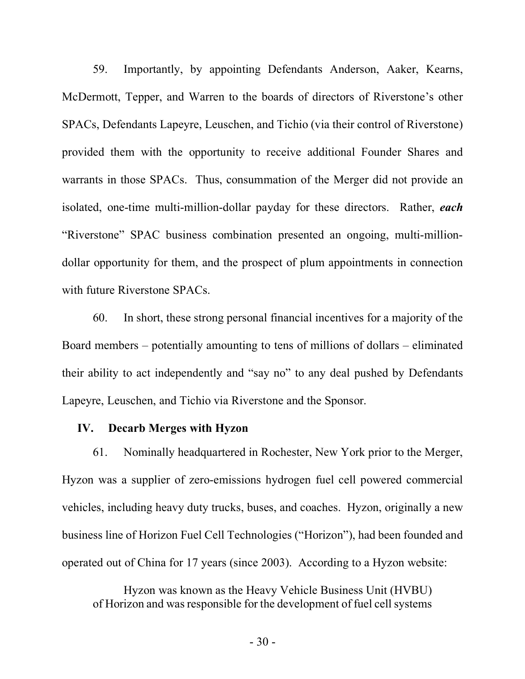59. Importantly, by appointing Defendants Anderson, Aaker, Kearns, McDermott, Tepper, and Warren to the boards of directors of Riverstone's other SPACs, Defendants Lapeyre, Leuschen, and Tichio (via their control of Riverstone) provided them with the opportunity to receive additional Founder Shares and warrants in those SPACs. Thus, consummation of the Merger did not provide an isolated, one-time multi-million-dollar payday for these directors. Rather, *each* "Riverstone" SPAC business combination presented an ongoing, multi-milliondollar opportunity for them, and the prospect of plum appointments in connection with future Riverstone SPACs.

60. In short, these strong personal financial incentives for a majority of the Board members – potentially amounting to tens of millions of dollars – eliminated their ability to act independently and "say no" to any deal pushed by Defendants Lapeyre, Leuschen, and Tichio via Riverstone and the Sponsor.

### **IV. Decarb Merges with Hyzon**

61. Nominally headquartered in Rochester, New York prior to the Merger, Hyzon was a supplier of zero-emissions hydrogen fuel cell powered commercial vehicles, including heavy duty trucks, buses, and coaches. Hyzon, originally a new business line of Horizon Fuel Cell Technologies ("Horizon"), had been founded and operated out of China for 17 years (since 2003). According to a Hyzon website:

Hyzon was known as the Heavy Vehicle Business Unit (HVBU) of Horizon and was responsible for the development of fuel cell systems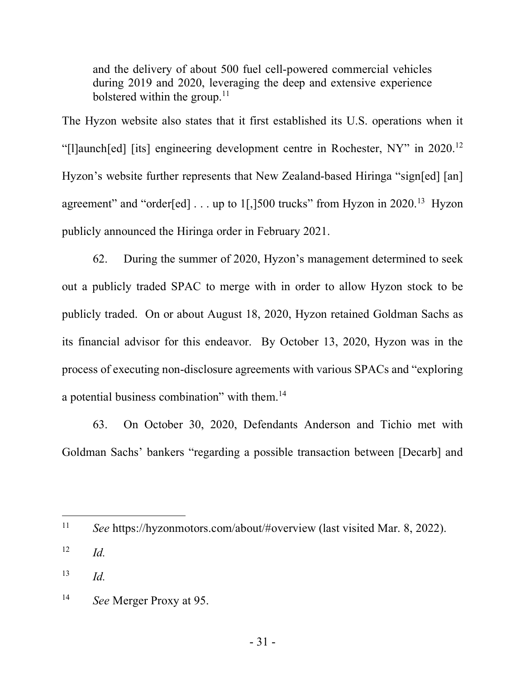and the delivery of about 500 fuel cell-powered commercial vehicles during 2019 and 2020, leveraging the deep and extensive experience bolstered within the group. $11$ 

The Hyzon website also states that it first established its U.S. operations when it "[l]aunch[ed] [its] engineering development centre in Rochester, NY" in 2020.12 Hyzon's website further represents that New Zealand-based Hiringa "sign[ed] [an] agreement" and "order[ed]  $\dots$  up to 1[,]500 trucks" from Hyzon in 2020.<sup>13</sup> Hyzon publicly announced the Hiringa order in February 2021.

62. During the summer of 2020, Hyzon's management determined to seek out a publicly traded SPAC to merge with in order to allow Hyzon stock to be publicly traded. On or about August 18, 2020, Hyzon retained Goldman Sachs as its financial advisor for this endeavor. By October 13, 2020, Hyzon was in the process of executing non-disclosure agreements with various SPACs and "exploring a potential business combination" with them.14

63. On October 30, 2020, Defendants Anderson and Tichio met with Goldman Sachs' bankers "regarding a possible transaction between [Decarb] and

<u>.</u>

<sup>11</sup> *See* https://hyzonmotors.com/about/#overview (last visited Mar. 8, 2022).

 $12$  *Id.* 

<sup>13</sup> *Id.*

<sup>14</sup> *See* Merger Proxy at 95.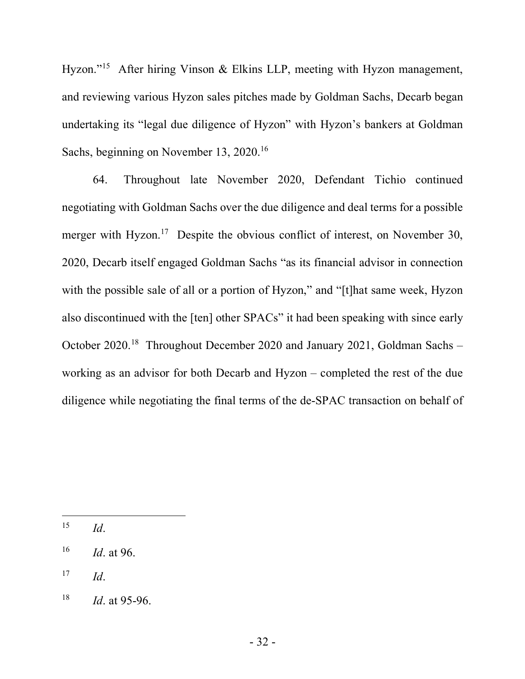Hyzon."<sup>15</sup> After hiring Vinson & Elkins LLP, meeting with Hyzon management, and reviewing various Hyzon sales pitches made by Goldman Sachs, Decarb began undertaking its "legal due diligence of Hyzon" with Hyzon's bankers at Goldman Sachs, beginning on November 13, 2020.<sup>16</sup>

64. Throughout late November 2020, Defendant Tichio continued negotiating with Goldman Sachs over the due diligence and deal terms for a possible merger with Hyzon.<sup>17</sup> Despite the obvious conflict of interest, on November 30, 2020, Decarb itself engaged Goldman Sachs "as its financial advisor in connection with the possible sale of all or a portion of Hyzon," and "[t]hat same week, Hyzon also discontinued with the [ten] other SPACs" it had been speaking with since early October 2020.18 Throughout December 2020 and January 2021, Goldman Sachs – working as an advisor for both Decarb and Hyzon – completed the rest of the due diligence while negotiating the final terms of the de-SPAC transaction on behalf of

<u>.</u>

 $^{15}$  *Id.* 

<sup>16</sup> *Id*. at 96.

 $17$  *Id.* 

<sup>18</sup> *Id*. at 95-96.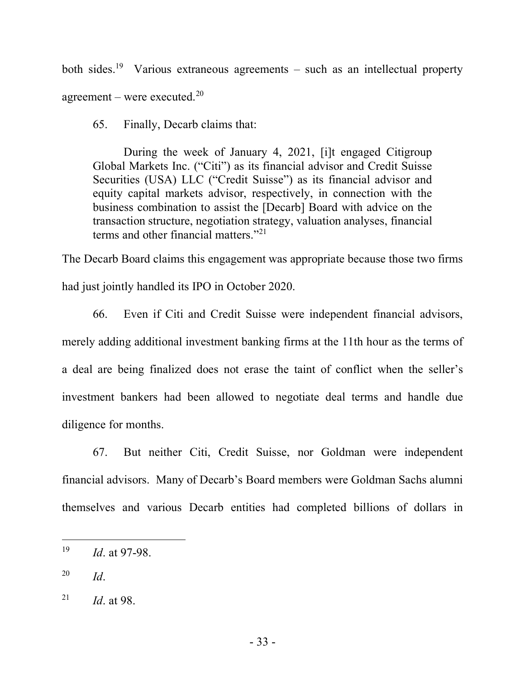both sides.<sup>19</sup> Various extraneous agreements – such as an intellectual property agreement – were executed. $20$ 

65. Finally, Decarb claims that:

During the week of January 4, 2021, [i]t engaged Citigroup Global Markets Inc. ("Citi") as its financial advisor and Credit Suisse Securities (USA) LLC ("Credit Suisse") as its financial advisor and equity capital markets advisor, respectively, in connection with the business combination to assist the [Decarb] Board with advice on the transaction structure, negotiation strategy, valuation analyses, financial terms and other financial matters."21

The Decarb Board claims this engagement was appropriate because those two firms had just jointly handled its IPO in October 2020.

66. Even if Citi and Credit Suisse were independent financial advisors, merely adding additional investment banking firms at the 11th hour as the terms of a deal are being finalized does not erase the taint of conflict when the seller's investment bankers had been allowed to negotiate deal terms and handle due diligence for months.

67. But neither Citi, Credit Suisse, nor Goldman were independent financial advisors. Many of Decarb's Board members were Goldman Sachs alumni themselves and various Decarb entities had completed billions of dollars in

1

<sup>19</sup> *Id*. at 97-98.

<sup>20</sup> *Id*.

<sup>21</sup> *Id*. at 98.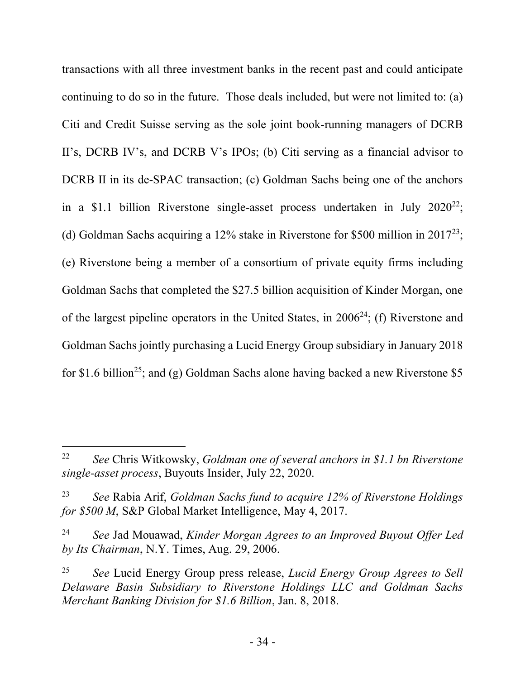transactions with all three investment banks in the recent past and could anticipate continuing to do so in the future. Those deals included, but were not limited to: (a) Citi and Credit Suisse serving as the sole joint book-running managers of DCRB II's, DCRB IV's, and DCRB V's IPOs; (b) Citi serving as a financial advisor to DCRB II in its de-SPAC transaction; (c) Goldman Sachs being one of the anchors in a \$1.1 billion Riverstone single-asset process undertaken in July  $2020^{22}$ ; (d) Goldman Sachs acquiring a 12% stake in Riverstone for \$500 million in 201723; (e) Riverstone being a member of a consortium of private equity firms including Goldman Sachs that completed the \$27.5 billion acquisition of Kinder Morgan, one of the largest pipeline operators in the United States, in  $2006<sup>24</sup>$ ; (f) Riverstone and Goldman Sachs jointly purchasing a Lucid Energy Group subsidiary in January 2018 for \$1.6 billion<sup>25</sup>; and (g) Goldman Sachs alone having backed a new Riverstone \$5

<u>.</u>

<sup>22</sup> *See* Chris Witkowsky, *Goldman one of several anchors in \$1.1 bn Riverstone single-asset process*, Buyouts Insider, July 22, 2020.

<sup>23</sup> *See* Rabia Arif, *Goldman Sachs fund to acquire 12% of Riverstone Holdings for \$500 M*, S&P Global Market Intelligence, May 4, 2017.

<sup>24</sup> *See* Jad Mouawad, *Kinder Morgan Agrees to an Improved Buyout Offer Led by Its Chairman*, N.Y. Times, Aug. 29, 2006.

<sup>25</sup> *See* Lucid Energy Group press release, *Lucid Energy Group Agrees to Sell Delaware Basin Subsidiary to Riverstone Holdings LLC and Goldman Sachs Merchant Banking Division for \$1.6 Billion*, Jan. 8, 2018.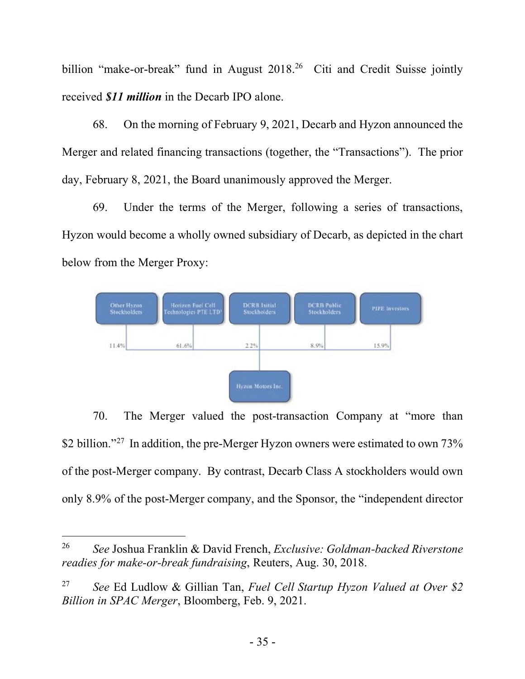billion "make-or-break" fund in August 2018.<sup>26</sup> Citi and Credit Suisse jointly received *\$11 million* in the Decarb IPO alone.

68. On the morning of February 9, 2021, Decarb and Hyzon announced the Merger and related financing transactions (together, the "Transactions"). The prior day, February 8, 2021, the Board unanimously approved the Merger.

69. Under the terms of the Merger, following a series of transactions, Hyzon would become a wholly owned subsidiary of Decarb, as depicted in the chart below from the Merger Proxy:



70. The Merger valued the post-transaction Company at "more than \$2 billion."<sup>27</sup> In addition, the pre-Merger Hyzon owners were estimated to own  $73\%$ of the post-Merger company. By contrast, Decarb Class A stockholders would own only 8.9% of the post-Merger company, and the Sponsor, the "independent director

<u>.</u>

<sup>26</sup> *See* Joshua Franklin & David French, *Exclusive: Goldman-backed Riverstone readies for make-or-break fundraising*, Reuters, Aug. 30, 2018.

<sup>27</sup> *See* Ed Ludlow & Gillian Tan, *Fuel Cell Startup Hyzon Valued at Over \$2 Billion in SPAC Merger*, Bloomberg, Feb. 9, 2021.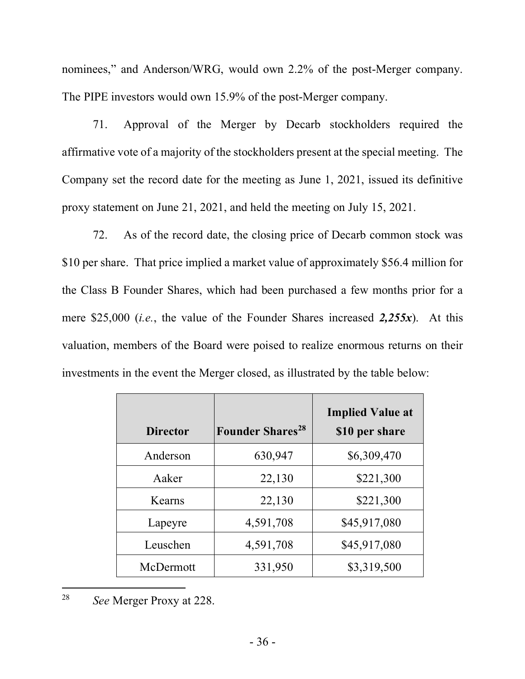nominees," and Anderson/WRG, would own 2.2% of the post-Merger company. The PIPE investors would own 15.9% of the post-Merger company.

71. Approval of the Merger by Decarb stockholders required the affirmative vote of a majority of the stockholders present at the special meeting. The Company set the record date for the meeting as June 1, 2021, issued its definitive proxy statement on June 21, 2021, and held the meeting on July 15, 2021.

72. As of the record date, the closing price of Decarb common stock was \$10 per share. That price implied a market value of approximately \$56.4 million for the Class B Founder Shares, which had been purchased a few months prior for a mere \$25,000 (*i.e.*, the value of the Founder Shares increased *2,255x*). At this valuation, members of the Board were poised to realize enormous returns on their investments in the event the Merger closed, as illustrated by the table below:

| <b>Director</b> | <b>Founder Shares<sup>28</sup></b> | <b>Implied Value at</b><br>\$10 per share |
|-----------------|------------------------------------|-------------------------------------------|
| Anderson        | 630,947                            | \$6,309,470                               |
| Aaker           | 22,130                             | \$221,300                                 |
| Kearns          | 22,130                             | \$221,300                                 |
| Lapeyre         | 4,591,708                          | \$45,917,080                              |
| Leuschen        | 4,591,708                          | \$45,917,080                              |
| McDermott       | 331,950                            | \$3,319,500                               |

<sup>28</sup> *See* Merger Proxy at 228.

1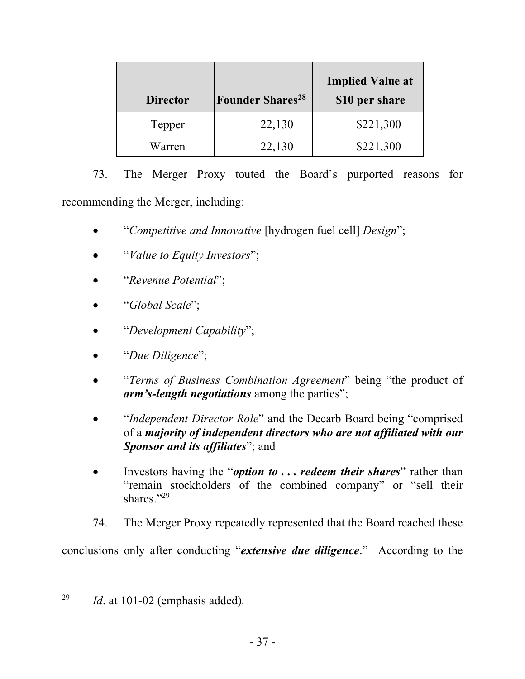| <b>Director</b> | <b>Founder Shares</b> <sup>28</sup> | <b>Implied Value at</b><br>\$10 per share |
|-----------------|-------------------------------------|-------------------------------------------|
| Tepper          | 22,130                              | \$221,300                                 |
| Warren          | 22,130                              | \$221,300                                 |

73. The Merger Proxy touted the Board's purported reasons for recommending the Merger, including:

- "*Competitive and Innovative* [hydrogen fuel cell] *Design*";
- "*Value to Equity Investors*";
- "*Revenue Potential*";
- "*Global Scale*";
- "*Development Capability*";
- "*Due Diligence*";
- "*Terms of Business Combination Agreement*" being "the product of *arm's-length negotiations* among the parties";
- *"Independent Director Role"* and the Decarb Board being "comprised" of a *majority of independent directors who are not affiliated with our Sponsor and its affiliates*"; and
- Investors having the "*option to* **. . .** *redeem their shares*" rather than "remain stockholders of the combined company" or "sell their shares."29
- 74. The Merger Proxy repeatedly represented that the Board reached these

conclusions only after conducting "*extensive due diligence*." According to the

1

<sup>29</sup> *Id*. at 101-02 (emphasis added).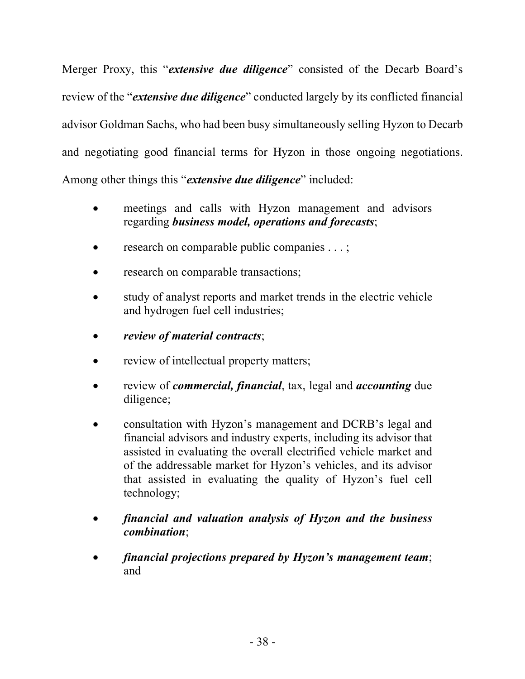Merger Proxy, this "*extensive due diligence*" consisted of the Decarb Board's review of the "*extensive due diligence*" conducted largely by its conflicted financial advisor Goldman Sachs, who had been busy simultaneously selling Hyzon to Decarb and negotiating good financial terms for Hyzon in those ongoing negotiations. Among other things this "*extensive due diligence*" included:

- meetings and calls with Hyzon management and advisors regarding *business model, operations and forecasts*;
- research on comparable public companies . . . ;
- research on comparable transactions;
- study of analyst reports and market trends in the electric vehicle and hydrogen fuel cell industries;
- *review of material contracts*;
- review of intellectual property matters;
- review of *commercial, financial*, tax, legal and *accounting* due diligence;
- consultation with Hyzon's management and DCRB's legal and financial advisors and industry experts, including its advisor that assisted in evaluating the overall electrified vehicle market and of the addressable market for Hyzon's vehicles, and its advisor that assisted in evaluating the quality of Hyzon's fuel cell technology;
- *financial and valuation analysis of Hyzon and the business combination*;
- *financial projections prepared by Hyzon's management team*; and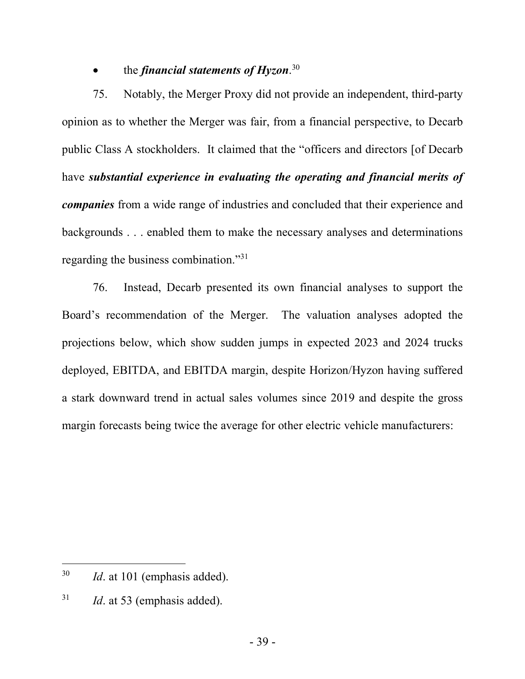## • the *financial statements of Hyzon*. 30

75. Notably, the Merger Proxy did not provide an independent, third-party opinion as to whether the Merger was fair, from a financial perspective, to Decarb public Class A stockholders. It claimed that the "officers and directors [of Decarb have *substantial experience in evaluating the operating and financial merits of companies* from a wide range of industries and concluded that their experience and backgrounds . . . enabled them to make the necessary analyses and determinations regarding the business combination."31

76. Instead, Decarb presented its own financial analyses to support the Board's recommendation of the Merger. The valuation analyses adopted the projections below, which show sudden jumps in expected 2023 and 2024 trucks deployed, EBITDA, and EBITDA margin, despite Horizon/Hyzon having suffered a stark downward trend in actual sales volumes since 2019 and despite the gross margin forecasts being twice the average for other electric vehicle manufacturers:

1

<sup>30</sup> *Id*. at 101 (emphasis added).

<sup>31</sup> *Id*. at 53 (emphasis added).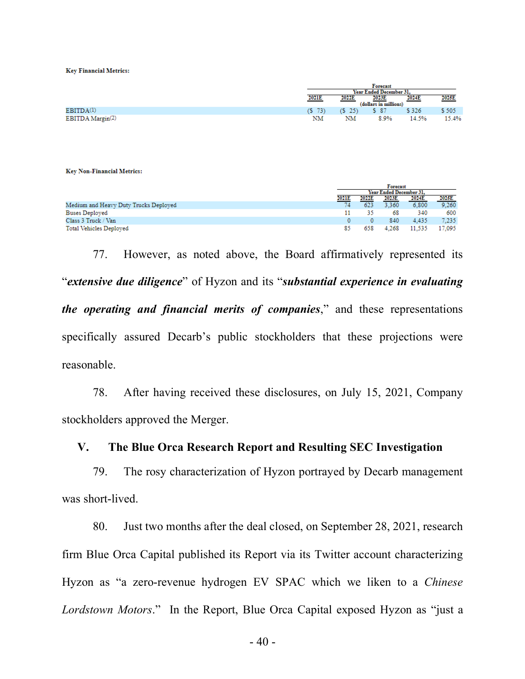**Key Financial Metrics:** 

|                  |             |                         | Forecast            |       |       |  |  |
|------------------|-------------|-------------------------|---------------------|-------|-------|--|--|
|                  |             | Year Ended December 31. |                     |       |       |  |  |
|                  | 2021E       | 2022E                   | 2023E               | 2024E | 2025E |  |  |
|                  |             | (dollars in millions)   |                     |       |       |  |  |
| EBITDA(1)        | $(S \t 73)$ |                         | $(S \t25)$ $S \t37$ | \$326 | \$505 |  |  |
| EBITDA Margin(2) | NΜ          | NΜ                      | 8.9%                | 14.5% | 15.4% |  |  |

**Key Non-Financial Metrics:** 

|                                       | <b>Forecast</b>                |       |       |        |        |  |
|---------------------------------------|--------------------------------|-------|-------|--------|--------|--|
|                                       | <b>Year Ended December 31.</b> |       |       |        |        |  |
|                                       | 2021E                          | 2022E | 2023E | 2024E  | 2025E  |  |
| Medium and Heavy Duty Trucks Deployed | 74                             | 623   | 3.360 | 6,800  | 9,260  |  |
| <b>Buses Deployed</b>                 |                                | 35.   | 68    | 340    | 600    |  |
| Class 3 Truck / Van                   |                                |       | 840   | 4.435  | 7.235  |  |
| Total Vehicles Deployed               | 85                             | 658   | 4.268 | 11.535 | 17.095 |  |

77. However, as noted above, the Board affirmatively represented its "*extensive due diligence*" of Hyzon and its "*substantial experience in evaluating the operating and financial merits of companies*," and these representations specifically assured Decarb's public stockholders that these projections were reasonable.

78. After having received these disclosures, on July 15, 2021, Company stockholders approved the Merger.

### **V. The Blue Orca Research Report and Resulting SEC Investigation**

79. The rosy characterization of Hyzon portrayed by Decarb management was short-lived.

80. Just two months after the deal closed, on September 28, 2021, research firm Blue Orca Capital published its Report via its Twitter account characterizing Hyzon as "a zero-revenue hydrogen EV SPAC which we liken to a *Chinese Lordstown Motors*." In the Report, Blue Orca Capital exposed Hyzon as "just a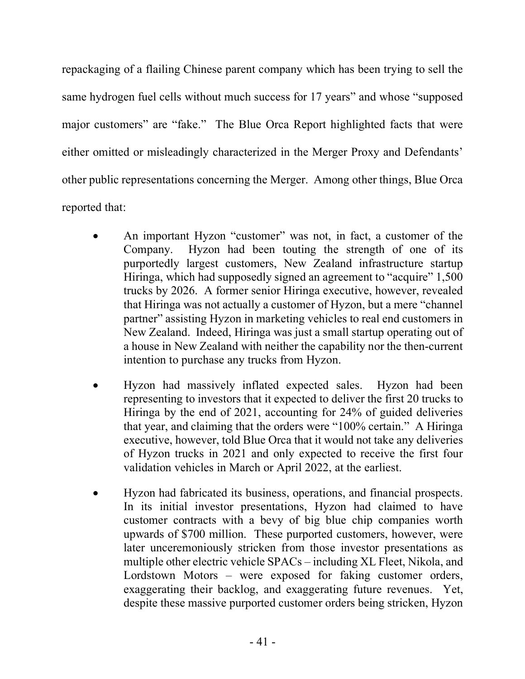repackaging of a flailing Chinese parent company which has been trying to sell the same hydrogen fuel cells without much success for 17 years" and whose "supposed major customers" are "fake." The Blue Orca Report highlighted facts that were either omitted or misleadingly characterized in the Merger Proxy and Defendants' other public representations concerning the Merger. Among other things, Blue Orca reported that:

- An important Hyzon "customer" was not, in fact, a customer of the Company. Hyzon had been touting the strength of one of its purportedly largest customers, New Zealand infrastructure startup Hiringa, which had supposedly signed an agreement to "acquire" 1,500 trucks by 2026. A former senior Hiringa executive, however, revealed that Hiringa was not actually a customer of Hyzon, but a mere "channel partner" assisting Hyzon in marketing vehicles to real end customers in New Zealand. Indeed, Hiringa was just a small startup operating out of a house in New Zealand with neither the capability nor the then-current intention to purchase any trucks from Hyzon.
- Hyzon had massively inflated expected sales. Hyzon had been representing to investors that it expected to deliver the first 20 trucks to Hiringa by the end of 2021, accounting for 24% of guided deliveries that year, and claiming that the orders were "100% certain." A Hiringa executive, however, told Blue Orca that it would not take any deliveries of Hyzon trucks in 2021 and only expected to receive the first four validation vehicles in March or April 2022, at the earliest.
- Hyzon had fabricated its business, operations, and financial prospects. In its initial investor presentations, Hyzon had claimed to have customer contracts with a bevy of big blue chip companies worth upwards of \$700 million. These purported customers, however, were later unceremoniously stricken from those investor presentations as multiple other electric vehicle SPACs – including XL Fleet, Nikola, and Lordstown Motors – were exposed for faking customer orders, exaggerating their backlog, and exaggerating future revenues. Yet, despite these massive purported customer orders being stricken, Hyzon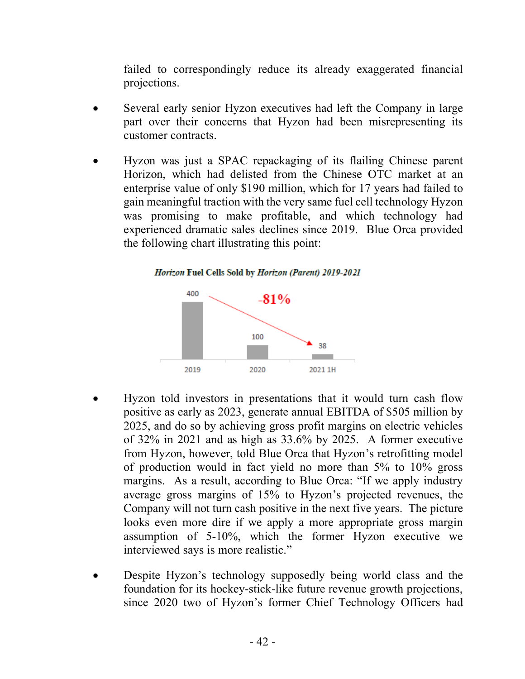failed to correspondingly reduce its already exaggerated financial projections.

- Several early senior Hyzon executives had left the Company in large part over their concerns that Hyzon had been misrepresenting its customer contracts.
- Hyzon was just a SPAC repackaging of its flailing Chinese parent Horizon, which had delisted from the Chinese OTC market at an enterprise value of only \$190 million, which for 17 years had failed to gain meaningful traction with the very same fuel cell technology Hyzon was promising to make profitable, and which technology had experienced dramatic sales declines since 2019. Blue Orca provided the following chart illustrating this point:



- Hyzon told investors in presentations that it would turn cash flow positive as early as 2023, generate annual EBITDA of \$505 million by 2025, and do so by achieving gross profit margins on electric vehicles of 32% in 2021 and as high as 33.6% by 2025. A former executive from Hyzon, however, told Blue Orca that Hyzon's retrofitting model of production would in fact yield no more than 5% to 10% gross margins. As a result, according to Blue Orca: "If we apply industry average gross margins of 15% to Hyzon's projected revenues, the Company will not turn cash positive in the next five years. The picture looks even more dire if we apply a more appropriate gross margin assumption of 5-10%, which the former Hyzon executive we interviewed says is more realistic."
- Despite Hyzon's technology supposedly being world class and the foundation for its hockey-stick-like future revenue growth projections, since 2020 two of Hyzon's former Chief Technology Officers had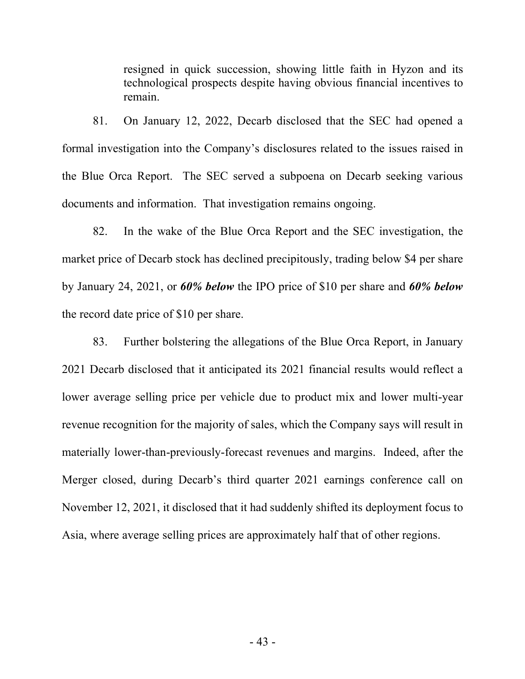resigned in quick succession, showing little faith in Hyzon and its technological prospects despite having obvious financial incentives to remain.

81. On January 12, 2022, Decarb disclosed that the SEC had opened a formal investigation into the Company's disclosures related to the issues raised in the Blue Orca Report. The SEC served a subpoena on Decarb seeking various documents and information. That investigation remains ongoing.

82. In the wake of the Blue Orca Report and the SEC investigation, the market price of Decarb stock has declined precipitously, trading below \$4 per share by January 24, 2021, or *60% below* the IPO price of \$10 per share and *60% below* the record date price of \$10 per share.

83. Further bolstering the allegations of the Blue Orca Report, in January 2021 Decarb disclosed that it anticipated its 2021 financial results would reflect a lower average selling price per vehicle due to product mix and lower multi-year revenue recognition for the majority of sales, which the Company says will result in materially lower-than-previously-forecast revenues and margins. Indeed, after the Merger closed, during Decarb's third quarter 2021 earnings conference call on November 12, 2021, it disclosed that it had suddenly shifted its deployment focus to Asia, where average selling prices are approximately half that of other regions.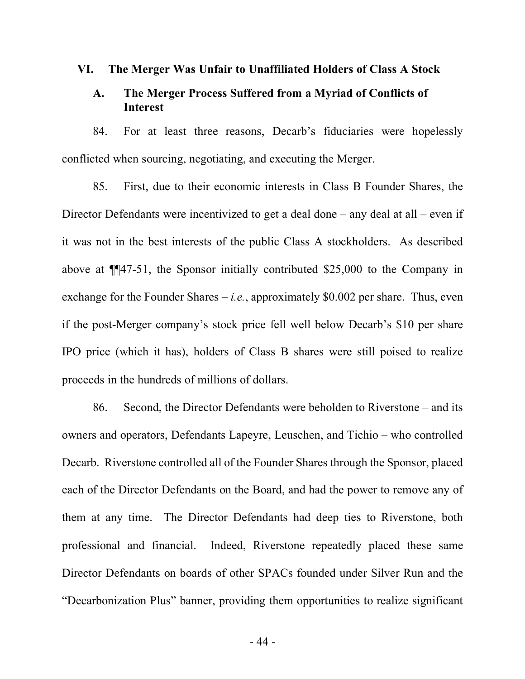#### **VI. The Merger Was Unfair to Unaffiliated Holders of Class A Stock**

## **A. The Merger Process Suffered from a Myriad of Conflicts of Interest**

84. For at least three reasons, Decarb's fiduciaries were hopelessly conflicted when sourcing, negotiating, and executing the Merger.

85. First, due to their economic interests in Class B Founder Shares, the Director Defendants were incentivized to get a deal done – any deal at all – even if it was not in the best interests of the public Class A stockholders. As described above at ¶¶47-51, the Sponsor initially contributed \$25,000 to the Company in exchange for the Founder Shares  $-i.e.,$  approximately \$0.002 per share. Thus, even if the post-Merger company's stock price fell well below Decarb's \$10 per share IPO price (which it has), holders of Class B shares were still poised to realize proceeds in the hundreds of millions of dollars.

86. Second, the Director Defendants were beholden to Riverstone – and its owners and operators, Defendants Lapeyre, Leuschen, and Tichio – who controlled Decarb. Riverstone controlled all of the Founder Shares through the Sponsor, placed each of the Director Defendants on the Board, and had the power to remove any of them at any time. The Director Defendants had deep ties to Riverstone, both professional and financial. Indeed, Riverstone repeatedly placed these same Director Defendants on boards of other SPACs founded under Silver Run and the "Decarbonization Plus" banner, providing them opportunities to realize significant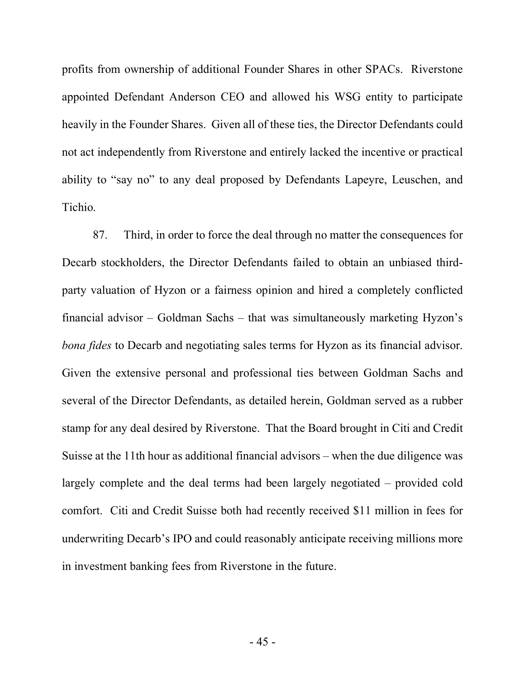profits from ownership of additional Founder Shares in other SPACs. Riverstone appointed Defendant Anderson CEO and allowed his WSG entity to participate heavily in the Founder Shares. Given all of these ties, the Director Defendants could not act independently from Riverstone and entirely lacked the incentive or practical ability to "say no" to any deal proposed by Defendants Lapeyre, Leuschen, and Tichio.

87. Third, in order to force the deal through no matter the consequences for Decarb stockholders, the Director Defendants failed to obtain an unbiased thirdparty valuation of Hyzon or a fairness opinion and hired a completely conflicted financial advisor – Goldman Sachs – that was simultaneously marketing Hyzon's *bona fides* to Decarb and negotiating sales terms for Hyzon as its financial advisor. Given the extensive personal and professional ties between Goldman Sachs and several of the Director Defendants, as detailed herein, Goldman served as a rubber stamp for any deal desired by Riverstone. That the Board brought in Citi and Credit Suisse at the 11th hour as additional financial advisors – when the due diligence was largely complete and the deal terms had been largely negotiated – provided cold comfort. Citi and Credit Suisse both had recently received \$11 million in fees for underwriting Decarb's IPO and could reasonably anticipate receiving millions more in investment banking fees from Riverstone in the future.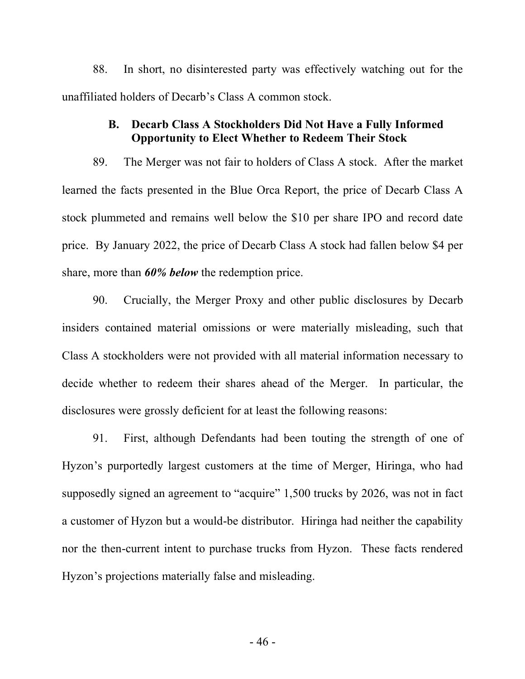88. In short, no disinterested party was effectively watching out for the unaffiliated holders of Decarb's Class A common stock.

## **B. Decarb Class A Stockholders Did Not Have a Fully Informed Opportunity to Elect Whether to Redeem Their Stock**

89. The Merger was not fair to holders of Class A stock. After the market learned the facts presented in the Blue Orca Report, the price of Decarb Class A stock plummeted and remains well below the \$10 per share IPO and record date price. By January 2022, the price of Decarb Class A stock had fallen below \$4 per share, more than *60% below* the redemption price.

90. Crucially, the Merger Proxy and other public disclosures by Decarb insiders contained material omissions or were materially misleading, such that Class A stockholders were not provided with all material information necessary to decide whether to redeem their shares ahead of the Merger. In particular, the disclosures were grossly deficient for at least the following reasons:

91. First, although Defendants had been touting the strength of one of Hyzon's purportedly largest customers at the time of Merger, Hiringa, who had supposedly signed an agreement to "acquire" 1,500 trucks by 2026, was not in fact a customer of Hyzon but a would-be distributor. Hiringa had neither the capability nor the then-current intent to purchase trucks from Hyzon. These facts rendered Hyzon's projections materially false and misleading.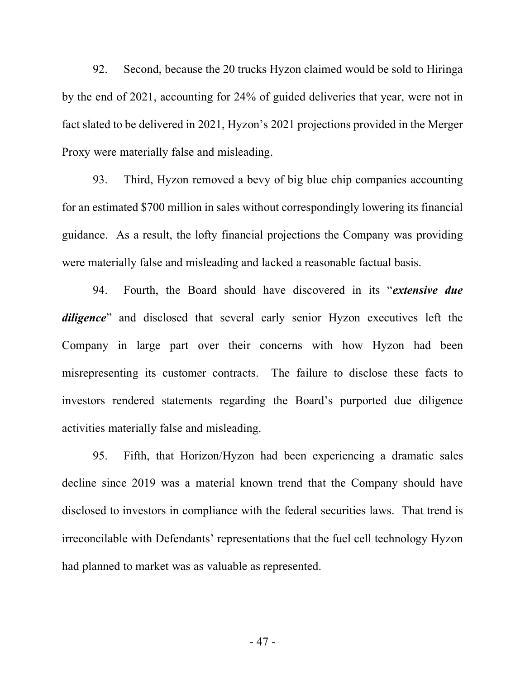92. Second, because the 20 trucks Hyzon claimed would be sold to Hiringa by the end of 2021, accounting for 24% of guided deliveries that year, were not in fact slated to be delivered in 2021, Hyzon's 2021 projections provided in the Merger Proxy were materially false and misleading.

93. Third, Hyzon removed a bevy of big blue chip companies accounting for an estimated \$700 million in sales without correspondingly lowering its financial guidance. As a result, the lofty financial projections the Company was providing were materially false and misleading and lacked a reasonable factual basis.

94. Fourth, the Board should have discovered in its "*extensive due diligence*" and disclosed that several early senior Hyzon executives left the Company in large part over their concerns with how Hyzon had been misrepresenting its customer contracts. The failure to disclose these facts to investors rendered statements regarding the Board's purported due diligence activities materially false and misleading.

95. Fifth, that Horizon/Hyzon had been experiencing a dramatic sales decline since 2019 was a material known trend that the Company should have disclosed to investors in compliance with the federal securities laws. That trend is irreconcilable with Defendants' representations that the fuel cell technology Hyzon had planned to market was as valuable as represented.

- 47 -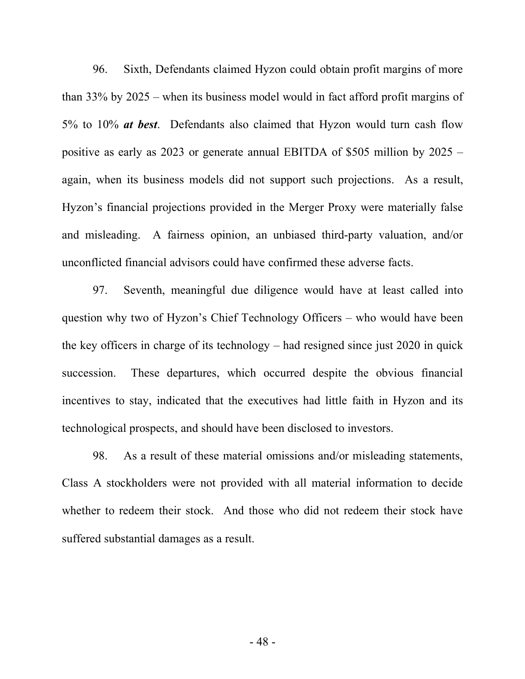96. Sixth, Defendants claimed Hyzon could obtain profit margins of more than 33% by 2025 – when its business model would in fact afford profit margins of 5% to 10% *at best*. Defendants also claimed that Hyzon would turn cash flow positive as early as 2023 or generate annual EBITDA of \$505 million by 2025 – again, when its business models did not support such projections. As a result, Hyzon's financial projections provided in the Merger Proxy were materially false and misleading. A fairness opinion, an unbiased third-party valuation, and/or unconflicted financial advisors could have confirmed these adverse facts.

97. Seventh, meaningful due diligence would have at least called into question why two of Hyzon's Chief Technology Officers – who would have been the key officers in charge of its technology – had resigned since just 2020 in quick succession. These departures, which occurred despite the obvious financial incentives to stay, indicated that the executives had little faith in Hyzon and its technological prospects, and should have been disclosed to investors.

98. As a result of these material omissions and/or misleading statements, Class A stockholders were not provided with all material information to decide whether to redeem their stock. And those who did not redeem their stock have suffered substantial damages as a result.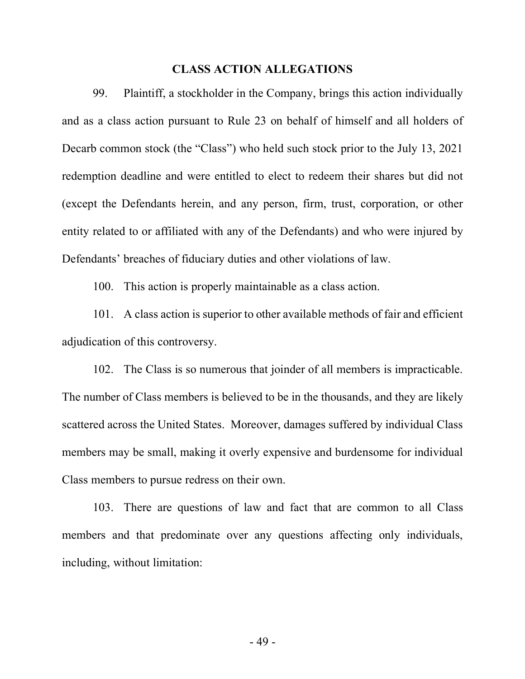### **CLASS ACTION ALLEGATIONS**

99. Plaintiff, a stockholder in the Company, brings this action individually and as a class action pursuant to Rule 23 on behalf of himself and all holders of Decarb common stock (the "Class") who held such stock prior to the July 13, 2021 redemption deadline and were entitled to elect to redeem their shares but did not (except the Defendants herein, and any person, firm, trust, corporation, or other entity related to or affiliated with any of the Defendants) and who were injured by Defendants' breaches of fiduciary duties and other violations of law.

100. This action is properly maintainable as a class action.

101. A class action is superior to other available methods of fair and efficient adjudication of this controversy.

102. The Class is so numerous that joinder of all members is impracticable. The number of Class members is believed to be in the thousands, and they are likely scattered across the United States. Moreover, damages suffered by individual Class members may be small, making it overly expensive and burdensome for individual Class members to pursue redress on their own.

103. There are questions of law and fact that are common to all Class members and that predominate over any questions affecting only individuals, including, without limitation: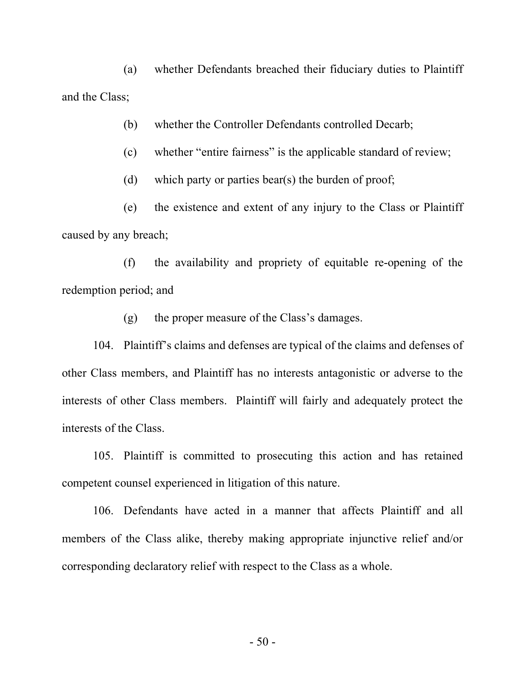(a) whether Defendants breached their fiduciary duties to Plaintiff and the Class;

(b) whether the Controller Defendants controlled Decarb;

(c) whether "entire fairness" is the applicable standard of review;

(d) which party or parties bear(s) the burden of proof;

(e) the existence and extent of any injury to the Class or Plaintiff caused by any breach;

(f) the availability and propriety of equitable re-opening of the redemption period; and

(g) the proper measure of the Class's damages.

104. Plaintiff's claims and defenses are typical of the claims and defenses of other Class members, and Plaintiff has no interests antagonistic or adverse to the interests of other Class members. Plaintiff will fairly and adequately protect the interests of the Class.

105. Plaintiff is committed to prosecuting this action and has retained competent counsel experienced in litigation of this nature.

106. Defendants have acted in a manner that affects Plaintiff and all members of the Class alike, thereby making appropriate injunctive relief and/or corresponding declaratory relief with respect to the Class as a whole.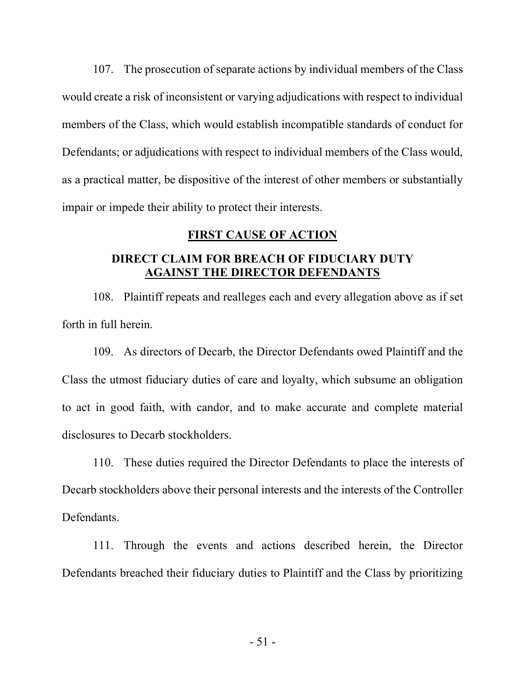107. The prosecution of separate actions by individual members of the Class would create a risk of inconsistent or varying adjudications with respect to individual members of the Class, which would establish incompatible standards of conduct for Defendants; or adjudications with respect to individual members of the Class would, as a practical matter, be dispositive of the interest of other members or substantially impair or impede their ability to protect their interests.

### **FIRST CAUSE OF ACTION**

# **DIRECT CLAIM FOR BREACH OF FIDUCIARY DUTY AGAINST THE DIRECTOR DEFENDANTS**

108. Plaintiff repeats and realleges each and every allegation above as if set forth in full herein.

109. As directors of Decarb, the Director Defendants owed Plaintiff and the Class the utmost fiduciary duties of care and loyalty, which subsume an obligation to act in good faith, with candor, and to make accurate and complete material disclosures to Decarb stockholders.

110. These duties required the Director Defendants to place the interests of Decarb stockholders above their personal interests and the interests of the Controller Defendants.

111. Through the events and actions described herein, the Director Defendants breached their fiduciary duties to Plaintiff and the Class by prioritizing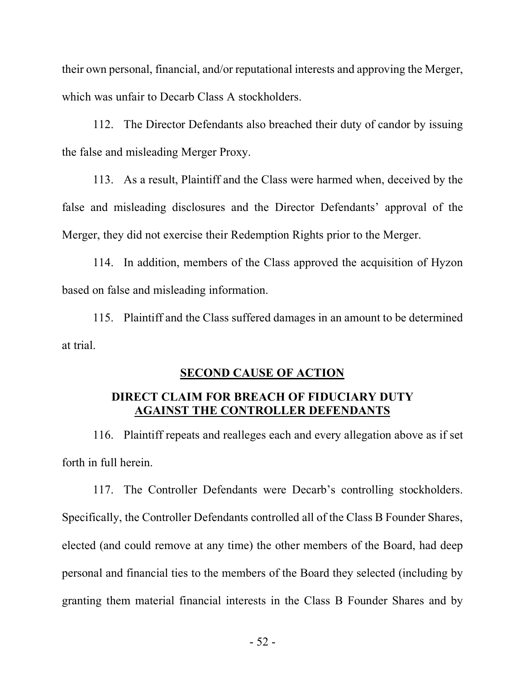their own personal, financial, and/or reputational interests and approving the Merger, which was unfair to Decarb Class A stockholders.

112. The Director Defendants also breached their duty of candor by issuing the false and misleading Merger Proxy.

113. As a result, Plaintiff and the Class were harmed when, deceived by the false and misleading disclosures and the Director Defendants' approval of the Merger, they did not exercise their Redemption Rights prior to the Merger.

114. In addition, members of the Class approved the acquisition of Hyzon based on false and misleading information.

115. Plaintiff and the Class suffered damages in an amount to be determined at trial.

### **SECOND CAUSE OF ACTION**

# **DIRECT CLAIM FOR BREACH OF FIDUCIARY DUTY AGAINST THE CONTROLLER DEFENDANTS**

116. Plaintiff repeats and realleges each and every allegation above as if set forth in full herein.

117. The Controller Defendants were Decarb's controlling stockholders. Specifically, the Controller Defendants controlled all of the Class B Founder Shares, elected (and could remove at any time) the other members of the Board, had deep personal and financial ties to the members of the Board they selected (including by granting them material financial interests in the Class B Founder Shares and by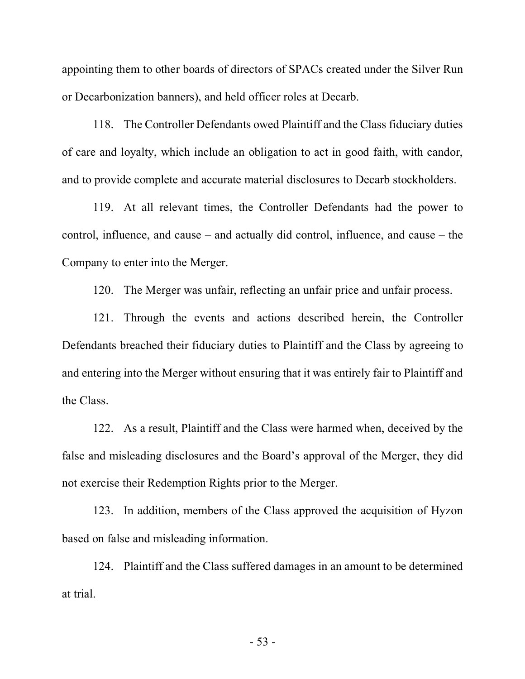appointing them to other boards of directors of SPACs created under the Silver Run or Decarbonization banners), and held officer roles at Decarb.

118. The Controller Defendants owed Plaintiff and the Class fiduciary duties of care and loyalty, which include an obligation to act in good faith, with candor, and to provide complete and accurate material disclosures to Decarb stockholders.

119. At all relevant times, the Controller Defendants had the power to control, influence, and cause – and actually did control, influence, and cause – the Company to enter into the Merger.

120. The Merger was unfair, reflecting an unfair price and unfair process.

121. Through the events and actions described herein, the Controller Defendants breached their fiduciary duties to Plaintiff and the Class by agreeing to and entering into the Merger without ensuring that it was entirely fair to Plaintiff and the Class.

122. As a result, Plaintiff and the Class were harmed when, deceived by the false and misleading disclosures and the Board's approval of the Merger, they did not exercise their Redemption Rights prior to the Merger.

123. In addition, members of the Class approved the acquisition of Hyzon based on false and misleading information.

124. Plaintiff and the Class suffered damages in an amount to be determined at trial.

- 53 -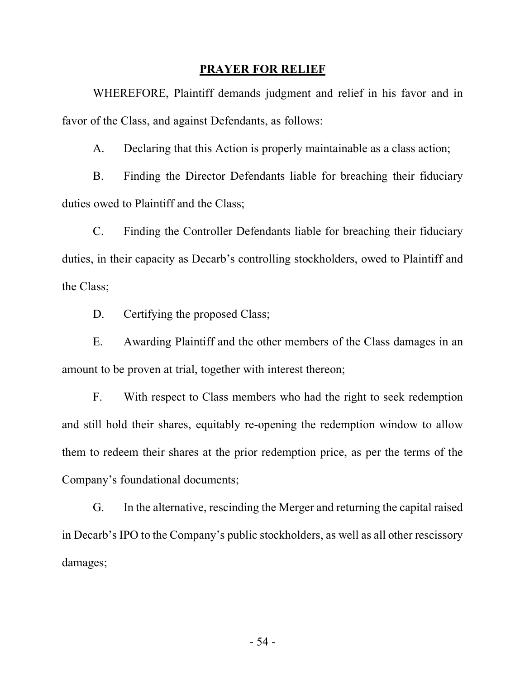### **PRAYER FOR RELIEF**

WHEREFORE, Plaintiff demands judgment and relief in his favor and in favor of the Class, and against Defendants, as follows:

A. Declaring that this Action is properly maintainable as a class action;

B. Finding the Director Defendants liable for breaching their fiduciary duties owed to Plaintiff and the Class;

C. Finding the Controller Defendants liable for breaching their fiduciary duties, in their capacity as Decarb's controlling stockholders, owed to Plaintiff and the Class;

D. Certifying the proposed Class:

E. Awarding Plaintiff and the other members of the Class damages in an amount to be proven at trial, together with interest thereon;

F. With respect to Class members who had the right to seek redemption and still hold their shares, equitably re-opening the redemption window to allow them to redeem their shares at the prior redemption price, as per the terms of the Company's foundational documents;

G. In the alternative, rescinding the Merger and returning the capital raised in Decarb's IPO to the Company's public stockholders, as well as all other rescissory damages;